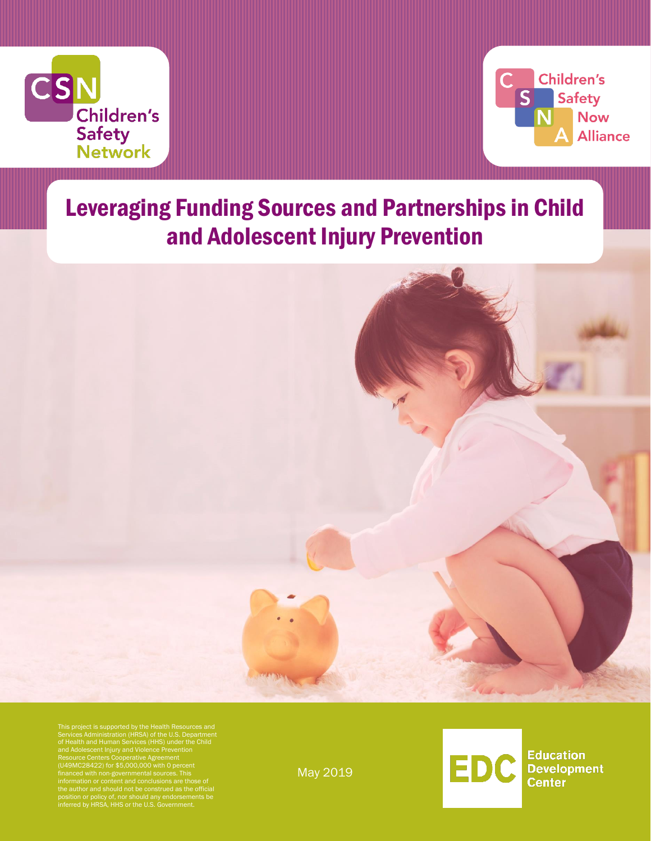



**Education** 

**Center** 

**Development** 

EDC

# Leveraging Funding Sources and Partnerships in Child and Adolescent Injury Prevention

Children's Safety Network



This project is supported by the Health Resources and<br>Services Administration (HRSA) of the U.S. Department<br>of Health and Human Services (HHS) under the Child<br>and Adolescent Injury and Violence Prevention<br>Resource Centers

May 2019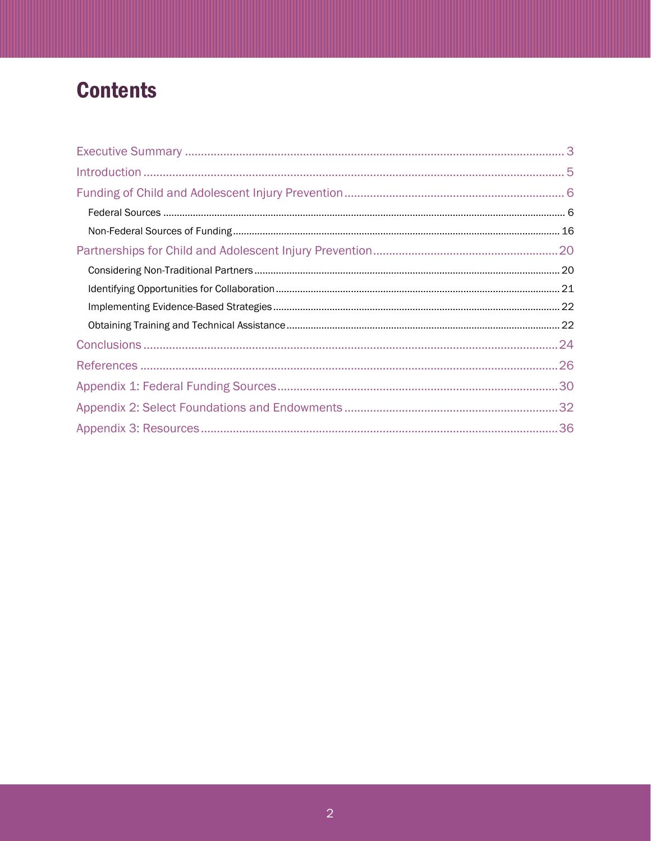# **Contents**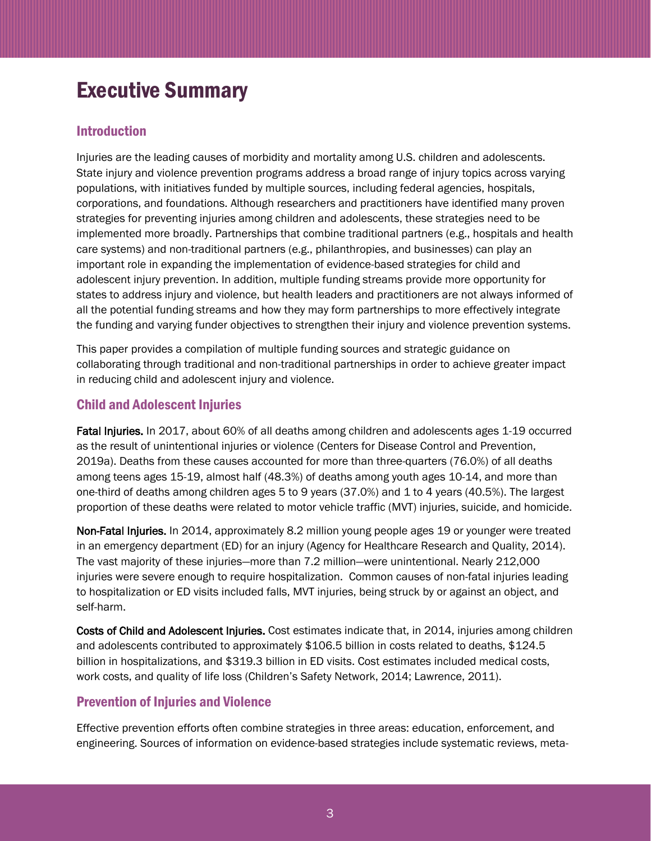# <span id="page-2-0"></span>Executive Summary

## Introduction

Injuries are the leading causes of morbidity and mortality among U.S. children and adolescents. State injury and violence prevention programs address a broad range of injury topics across varying populations, with initiatives funded by multiple sources, including federal agencies, hospitals, corporations, and foundations. Although researchers and practitioners have identified many proven strategies for preventing injuries among children and adolescents, these strategies need to be implemented more broadly. Partnerships that combine traditional partners (e.g., hospitals and health care systems) and non-traditional partners (e.g., philanthropies, and businesses) can play an important role in expanding the implementation of evidence-based strategies for child and adolescent injury prevention. In addition, multiple funding streams provide more opportunity for states to address injury and violence, but health leaders and practitioners are not always informed of all the potential funding streams and how they may form partnerships to more effectively integrate the funding and varying funder objectives to strengthen their injury and violence prevention systems.

This paper provides a compilation of multiple funding sources and strategic guidance on collaborating through traditional and non-traditional partnerships in order to achieve greater impact in reducing child and adolescent injury and violence.

## Child and Adolescent Injuries

Fatal Injuries. In 2017, about 60% of all deaths among children and adolescents ages 1-19 occurred as the result of unintentional injuries or violence (Centers for Disease Control and Prevention, 2019a). Deaths from these causes accounted for more than three-quarters (76.0%) of all deaths among teens ages 15-19, almost half (48.3%) of deaths among youth ages 10-14, and more than one-third of deaths among children ages 5 to 9 years (37.0%) and 1 to 4 years (40.5%). The largest proportion of these deaths were related to motor vehicle traffic (MVT) injuries, suicide, and homicide.

Non-Fatal Injuries. In 2014, approximately 8.2 million young people ages 19 or younger were treated in an emergency department (ED) for an injury (Agency for Healthcare Research and Quality, 2014). The vast majority of these injuries—more than 7.2 million—were unintentional. Nearly 212,000 injuries were severe enough to require hospitalization. Common causes of non-fatal injuries leading to hospitalization or ED visits included falls, MVT injuries, being struck by or against an object, and self-harm.

Costs of Child and Adolescent Injuries. Cost estimates indicate that, in 2014, injuries among children and adolescents contributed to approximately \$106.5 billion in costs related to deaths, \$124.5 billion in hospitalizations, and \$319.3 billion in ED visits. Cost estimates included medical costs, work costs, and quality of life loss (Children's Safety Network, 2014; Lawrence, 2011).

## Prevention of Injuries and Violence

Effective prevention efforts often combine strategies in three areas: education, enforcement, and engineering. Sources of information on evidence-based strategies include systematic reviews, meta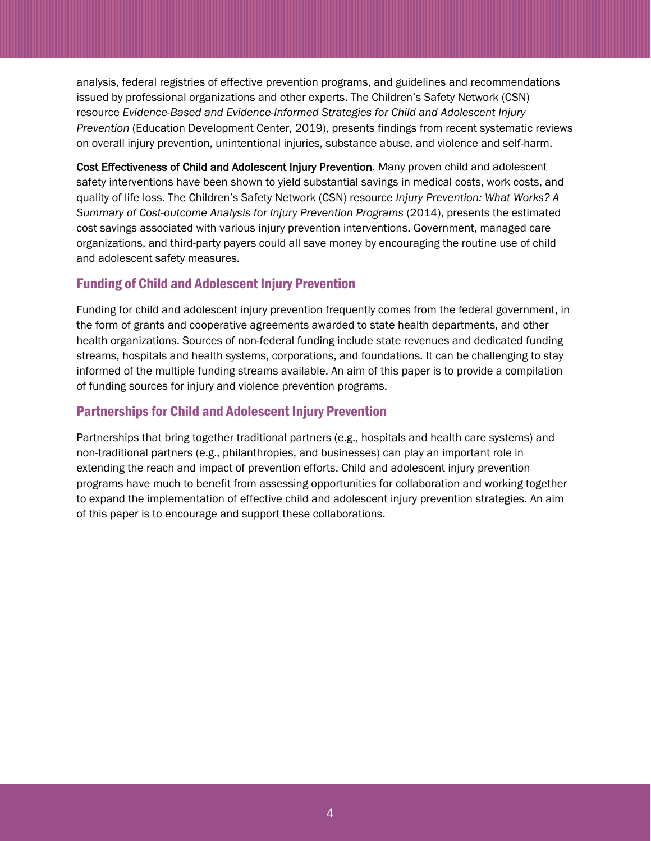analysis, federal registries of effective prevention programs, and guidelines and recommendations issued by professional organizations and other experts. The Children's Safety Network (CSN) resource *Evidence-Based and Evidence-Informed Strategies for Child and Adolescent Injury Prevention* (Education Development Center, 2019), presents findings from recent systematic reviews on overall injury prevention, unintentional injuries, substance abuse, and violence and self-harm.

Cost Effectiveness of Child and Adolescent Injury Prevention. Many proven child and adolescent safety interventions have been shown to yield substantial savings in medical costs, work costs, and quality of life loss. The Children's Safety Network (CSN) resource *Injury Prevention: What Works? A Summary of Cost-outcome Analysis for Injury Prevention Programs* (2014), presents the estimated cost savings associated with various injury prevention interventions. Government, managed care organizations, and third-party payers could all save money by encouraging the routine use of child and adolescent safety measures.

# Funding of Child and Adolescent Injury Prevention

Funding for child and adolescent injury prevention frequently comes from the federal government, in the form of grants and cooperative agreements awarded to state health departments, and other health organizations. Sources of non-federal funding include state revenues and dedicated funding streams, hospitals and health systems, corporations, and foundations. It can be challenging to stay informed of the multiple funding streams available. An aim of this paper is to provide a compilation of funding sources for injury and violence prevention programs.

# Partnerships for Child and Adolescent Injury Prevention

Partnerships that bring together traditional partners (e.g., hospitals and health care systems) and non-traditional partners (e.g., philanthropies, and businesses) can play an important role in extending the reach and impact of prevention efforts. Child and adolescent injury prevention programs have much to benefit from assessing opportunities for collaboration and working together to expand the implementation of effective child and adolescent injury prevention strategies. An aim of this paper is to encourage and support these collaborations.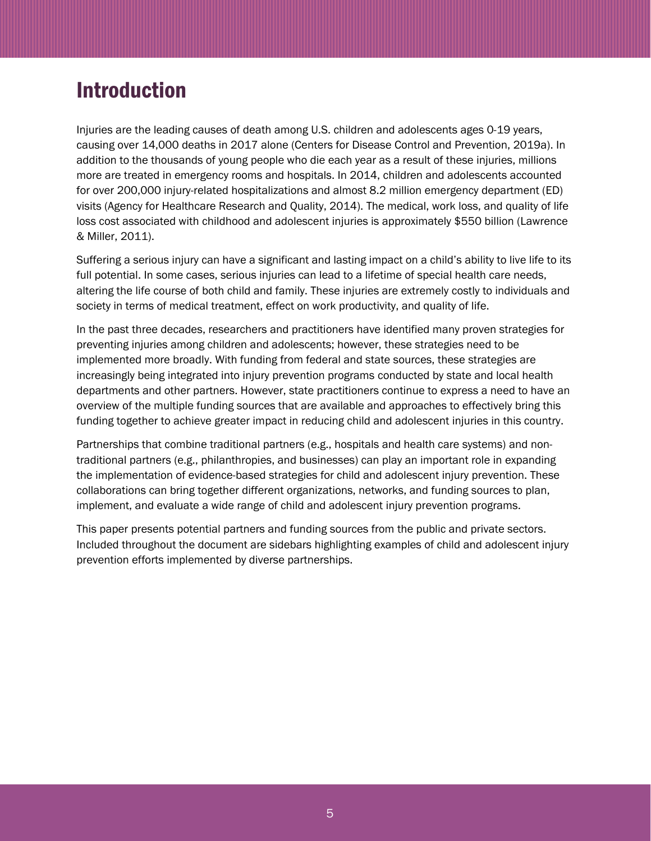# <span id="page-4-0"></span>Introduction

Injuries are the leading causes of death among U.S. children and adolescents ages 0-19 years, causing over 14,000 deaths in 2017 alone (Centers for Disease Control and Prevention, 2019a). In addition to the thousands of young people who die each year as a result of these injuries, millions more are treated in emergency rooms and hospitals. In 2014, children and adolescents accounted for over 200,000 injury-related hospitalizations and almost 8.2 million emergency department (ED) visits (Agency for Healthcare Research and Quality, 2014). The medical, work loss, and quality of life loss cost associated with childhood and adolescent injuries is approximately \$550 billion (Lawrence & Miller, 2011).

Suffering a serious injury can have a significant and lasting impact on a child's ability to live life to its full potential. In some cases, serious injuries can lead to a lifetime of special health care needs, altering the life course of both child and family. These injuries are extremely costly to individuals and society in terms of medical treatment, effect on work productivity, and quality of life.

In the past three decades, researchers and practitioners have identified many proven strategies for preventing injuries among children and adolescents; however, these strategies need to be implemented more broadly. With funding from federal and state sources, these strategies are increasingly being integrated into injury prevention programs conducted by state and local health departments and other partners. However, state practitioners continue to express a need to have an overview of the multiple funding sources that are available and approaches to effectively bring this funding together to achieve greater impact in reducing child and adolescent injuries in this country.

Partnerships that combine traditional partners (e.g., hospitals and health care systems) and nontraditional partners (e.g., philanthropies, and businesses) can play an important role in expanding the implementation of evidence-based strategies for child and adolescent injury prevention. These collaborations can bring together different organizations, networks, and funding sources to plan, implement, and evaluate a wide range of child and adolescent injury prevention programs.

This paper presents potential partners and funding sources from the public and private sectors. Included throughout the document are sidebars highlighting examples of child and adolescent injury prevention efforts implemented by diverse partnerships.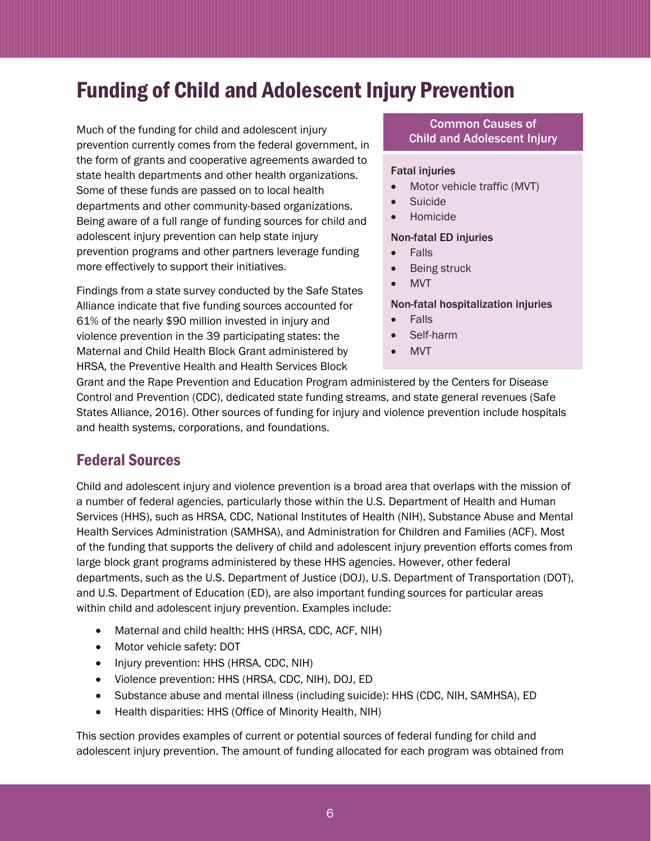# <span id="page-5-0"></span>Funding of Child and Adolescent Injury Prevention

Much of the funding for child and adolescent injury prevention currently comes from the federal government, in the form of grants and cooperative agreements awarded to state health departments and other health organizations. Some of these funds are passed on to local health departments and other community-based organizations. Being aware of a full range of funding sources for child and adolescent injury prevention can help state injury prevention programs and other partners leverage funding more effectively to support their initiatives.

Findings from a state survey conducted by the Safe States Alliance indicate that five funding sources accounted for 61% of the nearly \$90 million invested in injury and violence prevention in the 39 participating states: the Maternal and Child Health Block Grant administered by HRSA, the Preventive Health and Health Services Block

### Common Causes of Child and Adolescent Injury

### Fatal injuries

- Motor vehicle traffic (MVT)
- Suicide
- Homicide

### Non-fatal ED injuries

- Falls
- Being struck
- MVT

### Non-fatal hospitalization injuries

- Falls
- Self-harm
- MVT

Grant and the Rape Prevention and Education Program administered by the Centers for Disease Control and Prevention (CDC), dedicated state funding streams, and state general revenues (Safe States Alliance, 2016). Other sources of funding for injury and violence prevention include hospitals and health systems, corporations, and foundations.

# <span id="page-5-1"></span>Federal Sources

Child and adolescent injury and violence prevention is a broad area that overlaps with the mission of a number of federal agencies, particularly those within the U.S. Department of Health and Human Services (HHS), such as HRSA, CDC, National Institutes of Health (NIH), Substance Abuse and Mental Health Services Administration (SAMHSA), and Administration for Children and Families (ACF). Most of the funding that supports the delivery of child and adolescent injury prevention efforts comes from large block grant programs administered by these HHS agencies. However, other federal departments, such as the U.S. Department of Justice (DOJ), U.S. Department of Transportation (DOT), and U.S. Department of Education (ED), are also important funding sources for particular areas within child and adolescent injury prevention. Examples include:

- Maternal and child health: HHS (HRSA, CDC, ACF, NIH)
- Motor vehicle safety: DOT
- Injury prevention: HHS (HRSA, CDC, NIH)
- Violence prevention: HHS (HRSA, CDC, NIH), DOJ, ED
- Substance abuse and mental illness (including suicide): HHS (CDC, NIH, SAMHSA), ED
- Health disparities: HHS (Office of Minority Health, NIH)

This section provides examples of current or potential sources of federal funding for child and adolescent injury prevention. The amount of funding allocated for each program was obtained from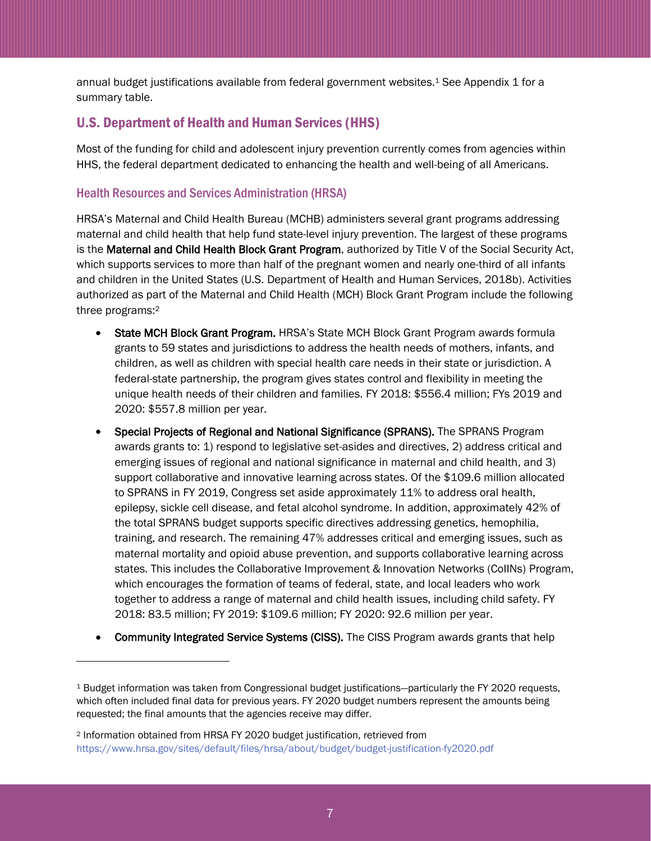annual budget justifications available from federal government websites. <sup>1</sup> See Appendix 1 for a summary table.

## U.S. Department of Health and Human Services (HHS)

Most of the funding for child and adolescent injury prevention currently comes from agencies within HHS, the federal department dedicated to enhancing the health and well-being of all Americans.

### Health Resources and Services Administration (HRSA)

HRSA's Maternal and Child Health Bureau (MCHB) administers several grant programs addressing maternal and child health that help fund state-level injury prevention. The largest of these programs is the Maternal and Child Health Block Grant Program, authorized by Title V of the Social Security Act, which supports services to more than half of the pregnant women and nearly one-third of all infants and children in the United States (U.S. Department of Health and Human Services, 2018b). Activities authorized as part of the Maternal and Child Health (MCH) Block Grant Program include the following three programs:<sup>2</sup>

- State MCH Block Grant Program. HRSA's State MCH Block Grant Program awards formula grants to 59 states and jurisdictions to address the health needs of mothers, infants, and children, as well as children with special health care needs in their state or jurisdiction. A federal-state partnership, the program gives states control and flexibility in meeting the unique health needs of their children and families. FY 2018: \$556.4 million; FYs 2019 and 2020: \$557.8 million per year.
- Special Projects of Regional and National Significance (SPRANS). The SPRANS Program awards grants to: 1) respond to legislative set-asides and directives, 2) address critical and emerging issues of regional and national significance in maternal and child health, and 3) support collaborative and innovative learning across states. Of the \$109.6 million allocated to SPRANS in FY 2019, Congress set aside approximately 11% to address oral health, epilepsy, sickle cell disease, and fetal alcohol syndrome. In addition, approximately 42% of the total SPRANS budget supports specific directives addressing genetics, hemophilia, training, and research. The remaining 47% addresses critical and emerging issues, such as maternal mortality and opioid abuse prevention, and supports collaborative learning across states. This includes the Collaborative Improvement & Innovation Networks (CoIINs) Program, which encourages the formation of teams of federal, state, and local leaders who work together to address a range of maternal and child health issues, including child safety. FY 2018: 83.5 million; FY 2019: \$109.6 million; FY 2020: 92.6 million per year.
- Community Integrated Service Systems (CISS). The CISS Program awards grants that help

l

<sup>1</sup> Budget information was taken from Congressional budget justifications—particularly the FY 2020 requests, which often included final data for previous years. FY 2020 budget numbers represent the amounts being requested; the final amounts that the agencies receive may differ.

<sup>2</sup> Information obtained from HRSA FY 2020 budget justification, retrieved from <https://www.hrsa.gov/sites/default/files/hrsa/about/budget/budget-justification-fy2020.pdf>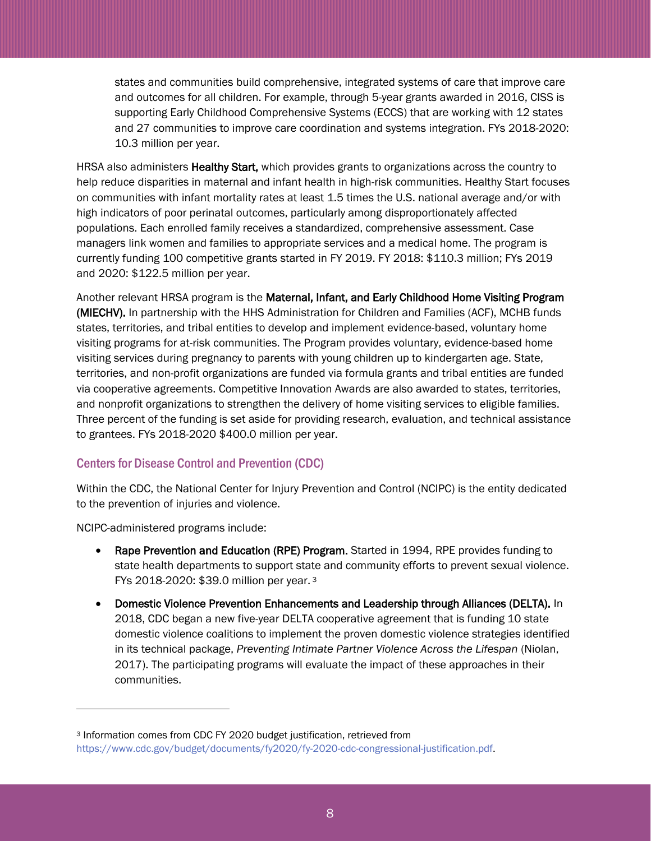states and communities build comprehensive, integrated systems of care that improve care and outcomes for all children. For example, through 5-year grants awarded in 2016, CISS is supporting Early Childhood Comprehensive Systems (ECCS) that are working with 12 states and 27 communities to improve care coordination and systems integration. FYs 2018-2020: 10.3 million per year.

HRSA also administers Healthy Start, which provides grants to organizations across the country to help reduce disparities in maternal and infant health in high-risk communities. Healthy Start focuses on communities with infant mortality rates at least 1.5 times the U.S. national average and/or with high indicators of poor perinatal outcomes, particularly among disproportionately affected populations. Each enrolled family receives a standardized, comprehensive assessment. Case managers link women and families to appropriate services and a medical home. The program is currently funding 100 competitive grants started in FY 2019. FY 2018: \$110.3 million; FYs 2019 and 2020: \$122.5 million per year.

Another relevant HRSA program is the Maternal, Infant, and Early Childhood Home Visiting Program (MIECHV). In partnership with the HHS Administration for Children and Families (ACF), MCHB funds states, territories, and tribal entities to develop and implement evidence-based, voluntary home visiting programs for at-risk communities. The Program provides voluntary, evidence-based home visiting services during pregnancy to parents with young children up to kindergarten age. State, territories, and non-profit organizations are funded via formula grants and tribal entities are funded via cooperative agreements. Competitive Innovation Awards are also awarded to states, territories, and nonprofit organizations to strengthen the delivery of home visiting services to eligible families. Three percent of the funding is set aside for providing research, evaluation, and technical assistance to grantees. FYs 2018-2020 \$400.0 million per year.

## Centers for Disease Control and Prevention (CDC)

Within the CDC, the National Center for Injury Prevention and Control (NCIPC) is the entity dedicated to the prevention of injuries and violence.

NCIPC-administered programs include:

l

- Rape Prevention and Education (RPE) Program. Started in 1994, RPE provides funding to state health departments to support state and community efforts to prevent sexual violence. FYs 2018-2020: \$39.0 million per year. 3
- Domestic Violence Prevention Enhancements and Leadership through Alliances (DELTA). In 2018, CDC began a new five-year DELTA cooperative agreement that is funding 10 state domestic violence coalitions to implement the proven domestic violence strategies identified in its technical package, *Preventing Intimate Partner Violence Across the Lifespan* (Niolan, 2017). The participating programs will evaluate the impact of these approaches in their communities.

<sup>3</sup> Information comes from CDC FY 2020 budget justification, retrieved from [https://www.cdc.gov/budget/documents/fy2020/fy-2020-cdc-congressional-justification.pdf.](https://www.cdc.gov/budget/documents/fy2020/fy-2020-cdc-congressional-justification.pdf)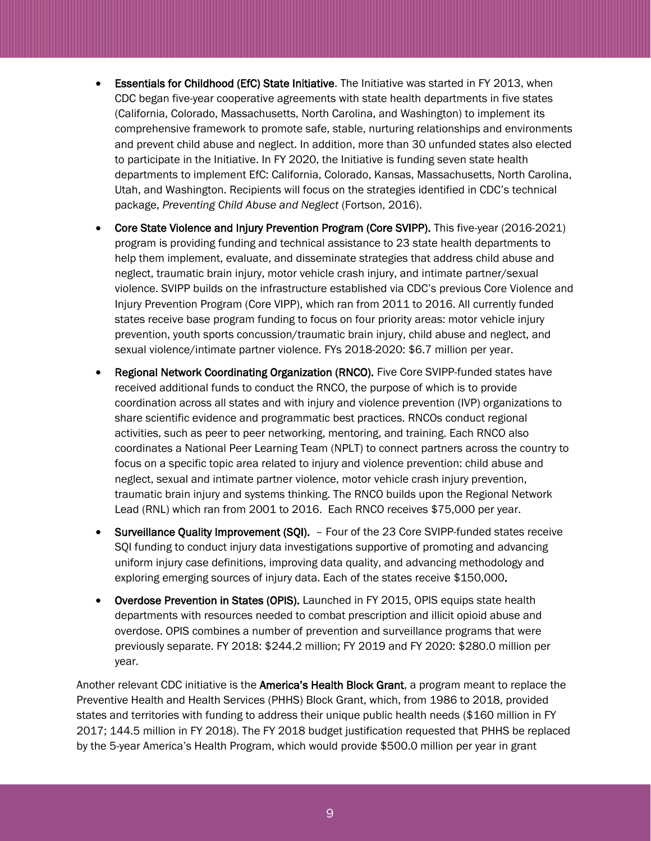- Essentials for Childhood (EfC) State Initiative. The Initiative was started in FY 2013, when CDC began five-year cooperative agreements with state health departments in five states (California, Colorado, Massachusetts, North Carolina, and Washington) to implement its comprehensive framework to promote safe, stable, nurturing relationships and environments and prevent child abuse and neglect. In addition, more than 30 unfunded states also elected to participate in the Initiative. In FY 2020, the Initiative is funding seven state health departments to implement EfC: California, Colorado, Kansas, Massachusetts, North Carolina, Utah, and Washington. Recipients will focus on the strategies identified in CDC's technical package, *Preventing Child Abuse and Neglect* (Fortson, 2016).
- Core State Violence and Injury Prevention Program (Core SVIPP). This five-year (2016-2021) program is providing funding and technical assistance to 23 state health departments to help them implement, evaluate, and disseminate strategies that address child abuse and neglect, traumatic brain injury, motor vehicle crash injury, and intimate partner/sexual violence. SVIPP builds on the infrastructure established via CDC's previous Core Violence and Injury Prevention Program (Core VIPP), which ran from 2011 to 2016. All currently funded states receive base program funding to focus on four priority areas: motor vehicle injury prevention, youth sports concussion/traumatic brain injury, child abuse and neglect, and sexual violence/intimate partner violence. FYs 2018-2020: \$6.7 million per year.
- Regional Network Coordinating Organization (RNCO). Five Core SVIPP-funded states have received additional funds to conduct the RNCO, the purpose of which is to provide coordination across all states and with injury and violence prevention (IVP) organizations to share scientific evidence and programmatic best practices. RNCOs conduct regional activities, such as peer to peer networking, mentoring, and training. Each RNCO also coordinates a National Peer Learning Team (NPLT) to connect partners across the country to focus on a specific topic area related to injury and violence prevention: child abuse and neglect, sexual and intimate partner violence, motor vehicle crash injury prevention, traumatic brain injury and systems thinking. The RNCO builds upon the Regional Network Lead (RNL) which ran from 2001 to 2016. Each RNCO receives \$75,000 per year.
- Surveillance Quality Improvement (SQI). Four of the 23 Core SVIPP-funded states receive SQI funding to conduct injury data investigations supportive of promoting and advancing uniform injury case definitions, improving data quality, and advancing methodology and exploring emerging sources of injury data. Each of the states receive \$150,000.
- Overdose Prevention in States (OPIS). Launched in FY 2015, OPIS equips state health departments with resources needed to combat prescription and illicit opioid abuse and overdose. OPIS combines a number of prevention and surveillance programs that were previously separate. FY 2018: \$244.2 million; FY 2019 and FY 2020: \$280.0 million per year.

Another relevant CDC initiative is the **America's Health Block Grant**, a program meant to replace the Preventive Health and Health Services (PHHS) Block Grant, which, from 1986 to 2018, provided states and territories with funding to address their unique public health needs (\$160 million in FY 2017; 144.5 million in FY 2018). The FY 2018 budget justification requested that PHHS be replaced by the 5-year America's Health Program, which would provide \$500.0 million per year in grant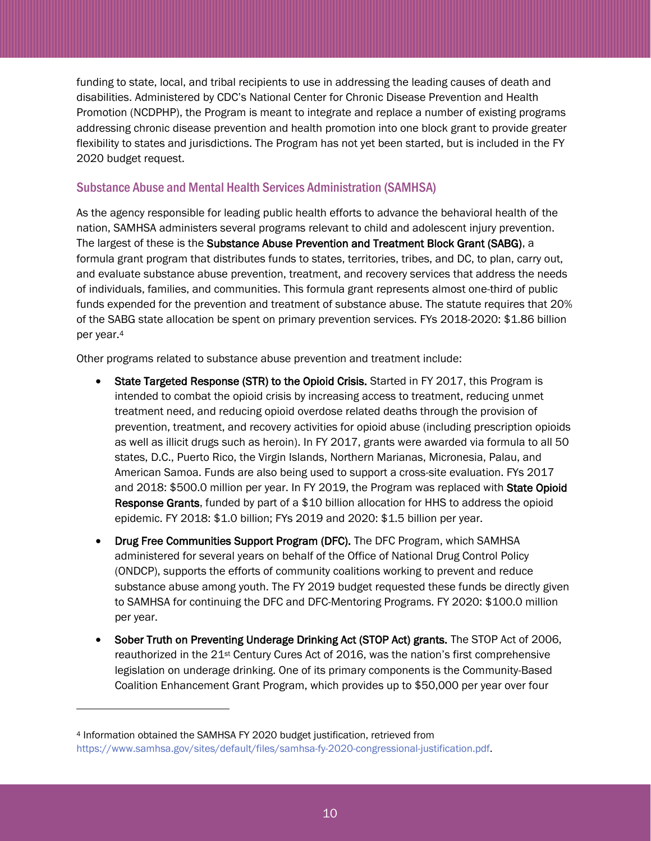funding to state, local, and tribal recipients to use in addressing the leading causes of death and disabilities. Administered by CDC's National Center for Chronic Disease Prevention and Health Promotion (NCDPHP), the Program is meant to integrate and replace a number of existing programs addressing chronic disease prevention and health promotion into one block grant to provide greater flexibility to states and jurisdictions. The Program has not yet been started, but is included in the FY 2020 budget request.

## Substance Abuse and Mental Health Services Administration (SAMHSA)

As the agency responsible for leading public health efforts to advance the behavioral health of the nation, SAMHSA administers several programs relevant to child and adolescent injury prevention. The largest of these is the Substance Abuse Prevention and Treatment Block Grant (SABG), a formula grant program that distributes funds to states, territories, tribes, and DC, to plan, carry out, and evaluate substance abuse prevention, treatment, and recovery services that address the needs of individuals, families, and communities. This formula grant represents almost one-third of public funds expended for the prevention and treatment of substance abuse. The statute requires that 20% of the SABG state allocation be spent on primary prevention services. FYs 2018-2020: \$1.86 billion per year. 4

Other programs related to substance abuse prevention and treatment include:

- State Targeted Response (STR) to the Opioid Crisis. Started in FY 2017, this Program is intended to combat the opioid crisis by increasing access to treatment, reducing unmet treatment need, and reducing opioid overdose related deaths through the provision of prevention, treatment, and recovery activities for opioid abuse (including prescription opioids as well as illicit drugs such as heroin). In FY 2017, grants were awarded via formula to all 50 states, D.C., Puerto Rico, the Virgin Islands, Northern Marianas, Micronesia, Palau, and American Samoa. Funds are also being used to support a cross-site evaluation. FYs 2017 and 2018: \$500.0 million per year. In FY 2019, the Program was replaced with State Opioid Response Grants, funded by part of a \$10 billion allocation for HHS to address the opioid epidemic. FY 2018: \$1.0 billion; FYs 2019 and 2020: \$1.5 billion per year.
- Drug Free Communities Support Program (DFC). The DFC Program, which SAMHSA administered for several years on behalf of the Office of National Drug Control Policy (ONDCP), supports the efforts of community coalitions working to prevent and reduce substance abuse among youth. The FY 2019 budget requested these funds be directly given to SAMHSA for continuing the DFC and DFC-Mentoring Programs. FY 2020: \$100.0 million per year.
- Sober Truth on Preventing Underage Drinking Act (STOP Act) grants. The STOP Act of 2006, reauthorized in the 21st Century Cures Act of 2016, was the nation's first comprehensive legislation on underage drinking. One of its primary components is the Community-Based Coalition Enhancement Grant Program, which provides up to \$50,000 per year over four

l

<sup>4</sup> Information obtained the SAMHSA FY 2020 budget justification, retrieved from [https://www.samhsa.gov/sites/default/files/samhsa-fy-2020-congressional-justification.pdf.](https://www.samhsa.gov/sites/default/files/samhsa-fy-2020-congressional-justification.pdf)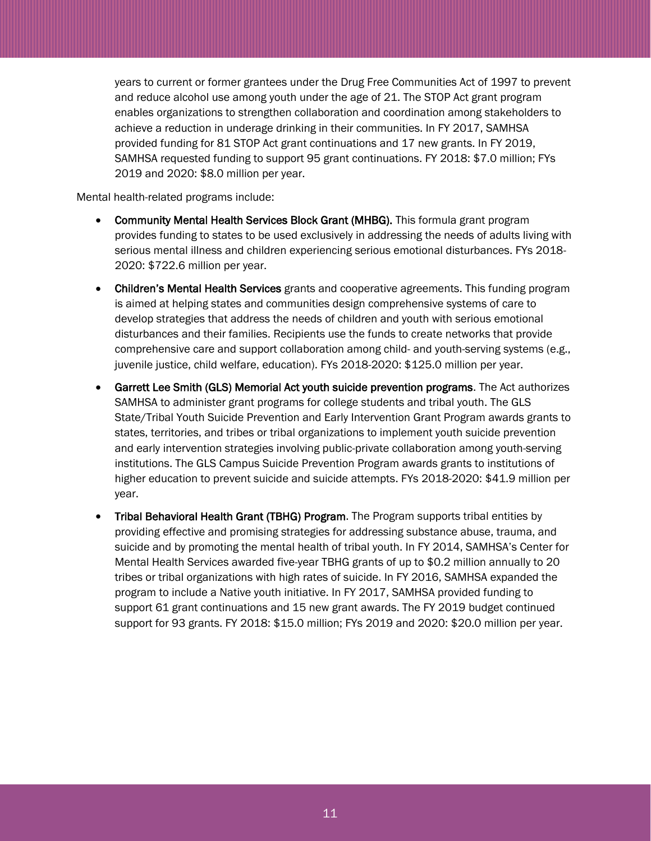years to current or former grantees under the Drug Free Communities Act of 1997 to prevent and reduce alcohol use among youth under the age of 21. The STOP Act grant program enables organizations to strengthen collaboration and coordination among stakeholders to achieve a reduction in underage drinking in their communities. In FY 2017, SAMHSA provided funding for 81 STOP Act grant continuations and 17 new grants. In FY 2019, SAMHSA requested funding to support 95 grant continuations. FY 2018: \$7.0 million; FYs 2019 and 2020: \$8.0 million per year.

Mental health-related programs include:

- Community Mental Health Services Block Grant (MHBG). This formula grant program provides funding to states to be used exclusively in addressing the needs of adults living with serious mental illness and children experiencing serious emotional disturbances. FYs 2018- 2020: \$722.6 million per year.
- Children's Mental Health Services grants and cooperative agreements. This funding program is aimed at helping states and communities design comprehensive systems of care to develop strategies that address the needs of children and youth with serious emotional disturbances and their families. Recipients use the funds to create networks that provide comprehensive care and support collaboration among child- and youth-serving systems (e.g., juvenile justice, child welfare, education). FYs 2018-2020: \$125.0 million per year.
- Garrett Lee Smith (GLS) Memorial Act youth suicide prevention programs. The Act authorizes SAMHSA to administer grant programs for college students and tribal youth. The GLS State/Tribal Youth Suicide Prevention and Early Intervention Grant Program awards grants to states, territories, and tribes or tribal organizations to implement youth suicide prevention and early intervention strategies involving public-private collaboration among youth-serving institutions. The GLS Campus Suicide Prevention Program awards grants to institutions of higher education to prevent suicide and suicide attempts. FYs 2018-2020: \$41.9 million per year.
- Tribal Behavioral Health Grant (TBHG) Program. The Program supports tribal entities by providing effective and promising strategies for addressing substance abuse, trauma, and suicide and by promoting the mental health of tribal youth. In FY 2014, SAMHSA's Center for Mental Health Services awarded five-year TBHG grants of up to \$0.2 million annually to 20 tribes or tribal organizations with high rates of suicide. In FY 2016, SAMHSA expanded the program to include a Native youth initiative. In FY 2017, SAMHSA provided funding to support 61 grant continuations and 15 new grant awards. The FY 2019 budget continued support for 93 grants. FY 2018: \$15.0 million; FYs 2019 and 2020: \$20.0 million per year.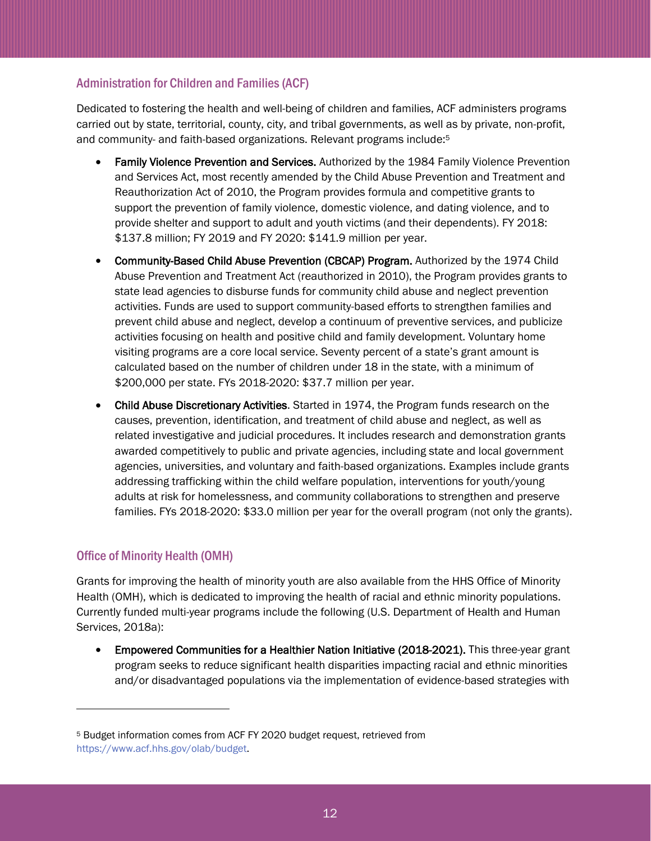## Administration for Children and Families (ACF)

Dedicated to fostering the health and well-being of children and families, ACF administers programs carried out by state, territorial, county, city, and tribal governments, as well as by private, non-profit, and community- and faith-based organizations. Relevant programs include:<sup>5</sup>

- Family Violence Prevention and Services. Authorized by the 1984 Family Violence Prevention and Services Act, most recently amended by the Child Abuse Prevention and Treatment and Reauthorization Act of 2010, the Program provides formula and competitive grants to support the prevention of family violence, domestic violence, and dating violence, and to provide shelter and support to adult and youth victims (and their dependents). FY 2018: \$137.8 million; FY 2019 and FY 2020: \$141.9 million per year.
- Community-Based Child Abuse Prevention (CBCAP) Program. Authorized by the 1974 Child Abuse Prevention and Treatment Act (reauthorized in 2010), the Program provides grants to state lead agencies to disburse funds for community child abuse and neglect prevention activities. Funds are used to support community-based efforts to strengthen families and prevent child abuse and neglect, develop a continuum of preventive services, and publicize activities focusing on health and positive child and family development. Voluntary home visiting programs are a core local service. Seventy percent of a state's grant amount is calculated based on the number of children under 18 in the state, with a minimum of \$200,000 per state. FYs 2018-2020: \$37.7 million per year.
- Child Abuse Discretionary Activities. Started in 1974, the Program funds research on the causes, prevention, identification, and treatment of child abuse and neglect, as well as related investigative and judicial procedures. It includes research and demonstration grants awarded competitively to public and private agencies, including state and local government agencies, universities, and voluntary and faith-based organizations. Examples include grants addressing trafficking within the child welfare population, interventions for youth/young adults at risk for homelessness, and community collaborations to strengthen and preserve families. FYs 2018-2020: \$33.0 million per year for the overall program (not only the grants).

# Office of Minority Health (OMH)

l

Grants for improving the health of minority youth are also available from the HHS Office of Minority Health (OMH), which is dedicated to improving the health of racial and ethnic minority populations. Currently funded multi-year programs include the following (U.S. Department of Health and Human Services, 2018a):

 Empowered Communities for a Healthier Nation Initiative (2018-2021). This three-year grant program seeks to reduce significant health disparities impacting racial and ethnic minorities and/or disadvantaged populations via the implementation of evidence-based strategies with

<sup>5</sup> Budget information comes from ACF FY 2020 budget request, retrieved from [https://www.acf.hhs.gov/olab/budget.](https://www.acf.hhs.gov/olab/budget)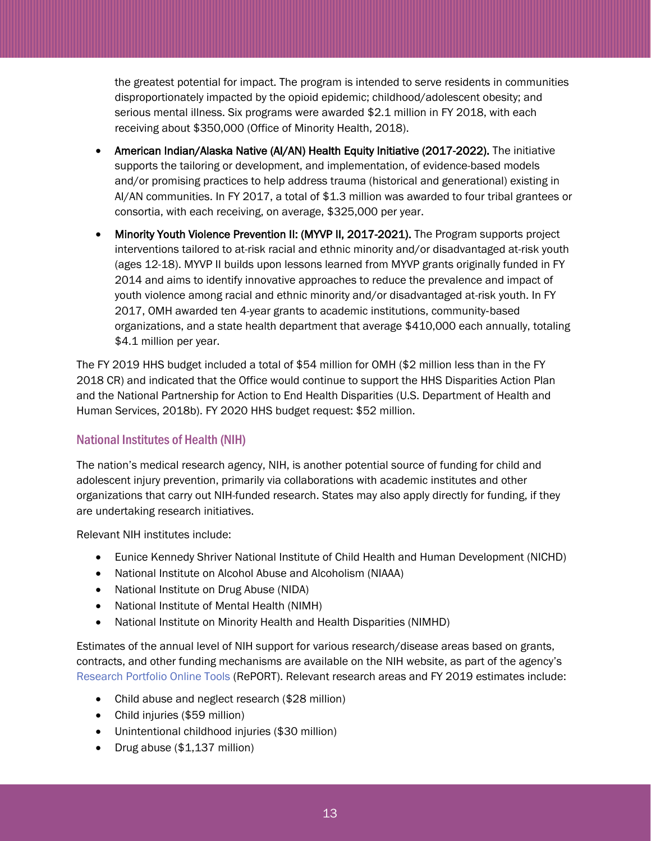the greatest potential for impact. The program is intended to serve residents in communities disproportionately impacted by the opioid epidemic; childhood/adolescent obesity; and serious mental illness. Six programs were awarded \$2.1 million in FY 2018, with each receiving about \$350,000 (Office of Minority Health, 2018).

- American Indian/Alaska Native (AI/AN) Health Equity Initiative (2017-2022). The initiative supports the tailoring or development, and implementation, of evidence-based models and/or promising practices to help address trauma (historical and generational) existing in AI/AN communities. In FY 2017, a total of \$1.3 million was awarded to four tribal grantees or consortia, with each receiving, on average, \$325,000 per year.
- Minority Youth Violence Prevention II: (MYVP II, 2017-2021). The Program supports project interventions tailored to at-risk racial and ethnic minority and/or disadvantaged at-risk youth (ages 12-18). MYVP II builds upon lessons learned from MYVP grants originally funded in FY 2014 and aims to identify innovative approaches to reduce the prevalence and impact of youth violence among racial and ethnic minority and/or disadvantaged at-risk youth. In FY 2017, OMH awarded ten 4-year grants to academic institutions, community‐based organizations, and a state health department that average \$410,000 each annually, totaling \$4.1 million per year.

The FY 2019 HHS budget included a total of \$54 million for OMH (\$2 million less than in the FY 2018 CR) and indicated that the Office would continue to support the HHS Disparities Action Plan and the National Partnership for Action to End Health Disparities (U.S. Department of Health and Human Services, 2018b). FY 2020 HHS budget request: \$52 million.

## National Institutes of Health (NIH)

The nation's medical research agency, NIH, is another potential source of funding for child and adolescent injury prevention, primarily via collaborations with academic institutes and other organizations that carry out NIH-funded research. States may also apply directly for funding, if they are undertaking research initiatives.

Relevant NIH institutes include:

- Eunice Kennedy Shriver National Institute of Child Health and Human Development (NICHD)
- National Institute on Alcohol Abuse and Alcoholism (NIAAA)
- National Institute on Drug Abuse (NIDA)
- National Institute of Mental Health (NIMH)
- National Institute on Minority Health and Health Disparities (NIMHD)

Estimates of the annual level of NIH support for various research/disease areas based on grants, contracts, and other funding mechanisms are available on the NIH website, as part of the agency's [Research Portfolio Online Tools](https://report.nih.gov/index.aspx) (RePORT). Relevant research areas and FY 2019 estimates include:

- Child abuse and neglect research (\$28 million)
- Child injuries (\$59 million)
- Unintentional childhood injuries (\$30 million)
- Drug abuse (\$1,137 million)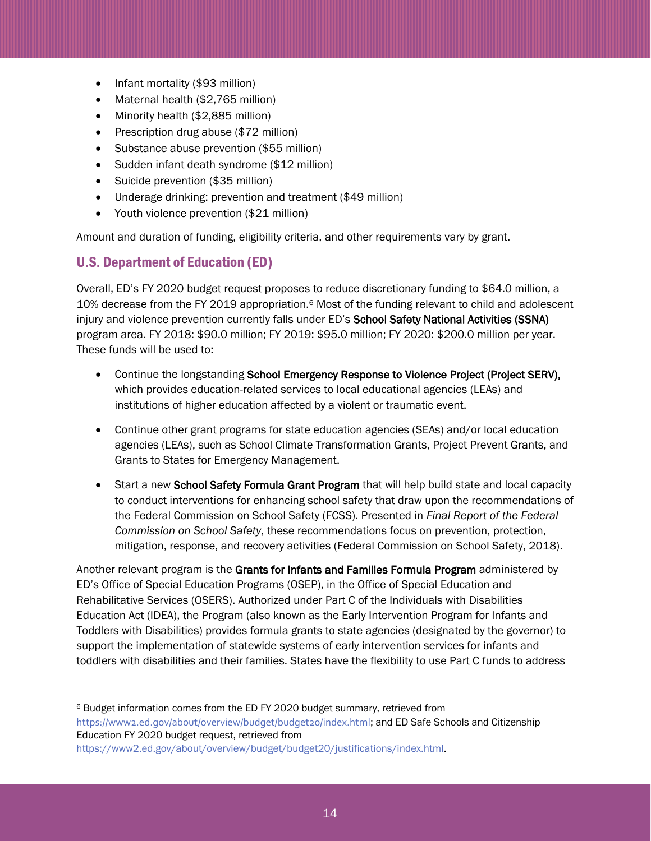- Infant mortality (\$93 million)
- Maternal health (\$2,765 million)
- Minority health (\$2,885 million)
- Prescription drug abuse  $(\$72$  million)
- Substance abuse prevention (\$55 million)
- Sudden infant death syndrome (\$12 million)
- Suicide prevention (\$35 million)
- Underage drinking: prevention and treatment (\$49 million)
- Youth violence prevention (\$21 million)

Amount and duration of funding, eligibility criteria, and other requirements vary by grant.

# U.S. Department of Education (ED)

 $\overline{a}$ 

Overall, ED's FY 2020 budget request proposes to reduce discretionary funding to \$64.0 million, a 10% decrease from the FY 2019 appropriation.<sup>6</sup> Most of the funding relevant to child and adolescent injury and violence prevention currently falls under ED's School Safety National Activities (SSNA) program area. FY 2018: \$90.0 million; FY 2019: \$95.0 million; FY 2020: \$200.0 million per year. These funds will be used to:

- Continue the longstanding School Emergency Response to Violence Project (Project SERV), which provides education-related services to local educational agencies (LEAs) and institutions of higher education affected by a violent or traumatic event.
- Continue other grant programs for state education agencies (SEAs) and/or local education agencies (LEAs), such as School Climate Transformation Grants, Project Prevent Grants, and Grants to States for Emergency Management.
- Start a new School Safety Formula Grant Program that will help build state and local capacity to conduct interventions for enhancing school safety that draw upon the recommendations of the Federal Commission on School Safety (FCSS). Presented in *Final Report of the Federal Commission on School Safety*, these recommendations focus on prevention, protection, mitigation, response, and recovery activities (Federal Commission on School Safety, 2018).

Another relevant program is the Grants for Infants and Families Formula Program administered by ED's Office of Special Education Programs (OSEP), in the Office of Special Education and Rehabilitative Services (OSERS). Authorized under Part C of the Individuals with Disabilities Education Act (IDEA), the Program (also known as the Early Intervention Program for Infants and Toddlers with Disabilities) provides formula grants to state agencies (designated by the governor) to support the implementation of statewide systems of early intervention services for infants and toddlers with disabilities and their families. States have the flexibility to use Part C funds to address

<sup>6</sup> Budget information comes from the ED FY 2020 budget summary, retrieved from

<https://www2.ed.gov/about/overview/budget/budget20/index.html>; and ED Safe Schools and Citizenship Education FY 2020 budget request, retrieved from

[https://www2.ed.gov/about/overview/budget/budget20/justifications/index.html.](https://www2.ed.gov/about/overview/budget/budget20/justifications/index.html)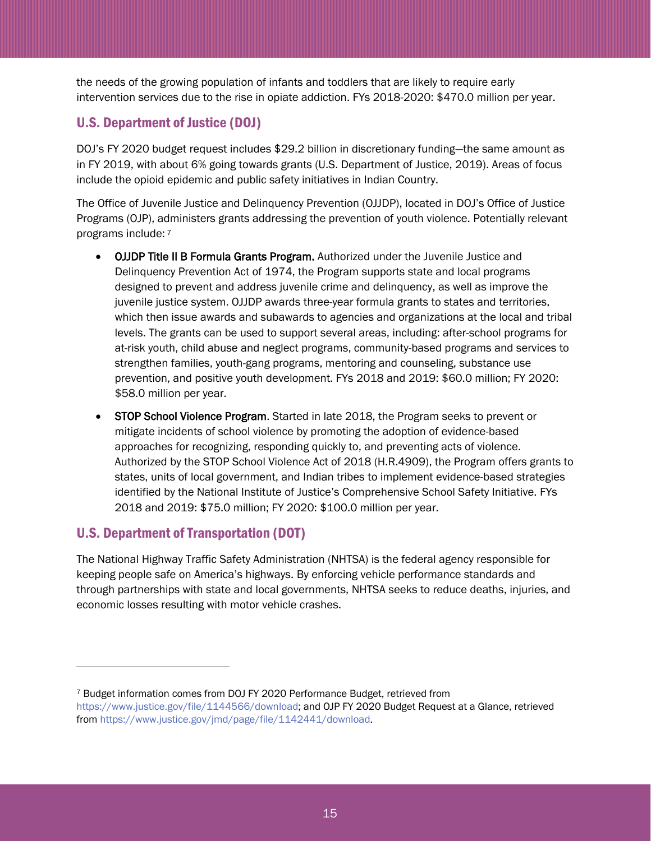the needs of the growing population of infants and toddlers that are likely to require early intervention services due to the rise in opiate addiction. FYs 2018-2020: \$470.0 million per year.

# U.S. Department of Justice (DOJ)

DOJ's FY 2020 budget request includes \$29.2 billion in discretionary funding—the same amount as in FY 2019, with about 6% going towards grants (U.S. Department of Justice, 2019). Areas of focus include the opioid epidemic and public safety initiatives in Indian Country.

The Office of Juvenile Justice and Delinquency Prevention (OJJDP), located in DOJ's Office of Justice Programs (OJP), administers grants addressing the prevention of youth violence. Potentially relevant programs include: <sup>7</sup>

- OJJDP Title II B Formula Grants Program. Authorized under the Juvenile Justice and Delinquency Prevention Act of 1974, the Program supports state and local programs designed to prevent and address juvenile crime and delinquency, as well as improve the juvenile justice system. OJJDP awards three-year formula grants to states and territories, which then issue awards and subawards to agencies and organizations at the local and tribal levels. The grants can be used to support several areas, including: after-school programs for at-risk youth, child abuse and neglect programs, community-based programs and services to strengthen families, youth-gang programs, mentoring and counseling, substance use prevention, and positive youth development. FYs 2018 and 2019: \$60.0 million; FY 2020: \$58.0 million per year.
- STOP School Violence Program. Started in late 2018, the Program seeks to prevent or mitigate incidents of school violence by promoting the adoption of evidence-based approaches for recognizing, responding quickly to, and preventing acts of violence. Authorized by the STOP School Violence Act of 2018 (H.R.4909), the Program offers grants to states, units of local government, and Indian tribes to implement evidence-based strategies identified by the National Institute of Justice's Comprehensive School Safety Initiative. FYs 2018 and 2019: \$75.0 million; FY 2020: \$100.0 million per year.

# U.S. Department of Transportation (DOT)

l

The National Highway Traffic Safety Administration (NHTSA) is the federal agency responsible for keeping people safe on America's highways. By enforcing vehicle performance standards and through partnerships with state and local governments, NHTSA seeks to reduce deaths, injuries, and economic losses resulting with motor vehicle crashes.

<sup>7</sup> Budget information comes from DOJ FY 2020 Performance Budget, retrieved from [https://www.justice.gov/file/1144566/download;](https://www.justice.gov/file/1144566/download) and OJP FY 2020 Budget Request at a Glance, retrieved from [https://www.justice.gov/jmd/page/file/1142441/download.](https://www.justice.gov/jmd/page/file/1142441/download)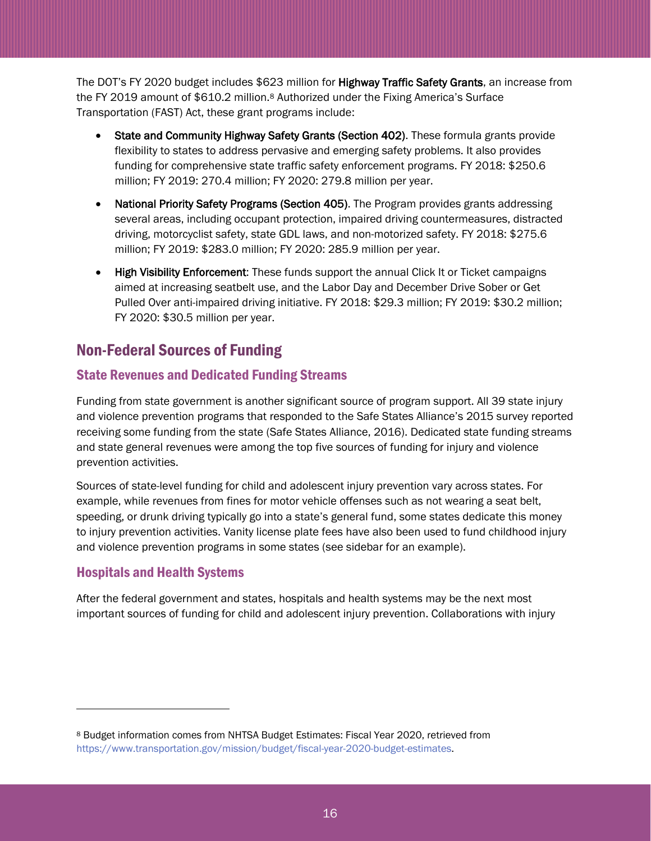The DOT's FY 2020 budget includes \$623 million for Highway Traffic Safety Grants, an increase from the FY 2019 amount of \$610.2 million.<sup>8</sup> Authorized under the Fixing America's Surface Transportation (FAST) Act, these grant programs include:

- State and Community Highway Safety Grants (Section 402). These formula grants provide flexibility to states to address pervasive and emerging safety problems. It also provides funding for comprehensive state traffic safety enforcement programs. FY 2018: \$250.6 million; FY 2019: 270.4 million; FY 2020: 279.8 million per year.
- National Priority Safety Programs (Section 405). The Program provides grants addressing several areas, including occupant protection, impaired driving countermeasures, distracted driving, motorcyclist safety, state GDL laws, and non-motorized safety. FY 2018: \$275.6 million; FY 2019: \$283.0 million; FY 2020: 285.9 million per year.
- High Visibility Enforcement: These funds support the annual Click It or Ticket campaigns aimed at increasing seatbelt use, and the Labor Day and December Drive Sober or Get Pulled Over anti-impaired driving initiative. FY 2018: \$29.3 million; FY 2019: \$30.2 million; FY 2020: \$30.5 million per year.

# <span id="page-15-0"></span>Non-Federal Sources of Funding

# State Revenues and Dedicated Funding Streams

Funding from state government is another significant source of program support. All 39 state injury and violence prevention programs that responded to the Safe States Alliance's 2015 survey reported receiving some funding from the state (Safe States Alliance, 2016). Dedicated state funding streams and state general revenues were among the top five sources of funding for injury and violence prevention activities.

Sources of state-level funding for child and adolescent injury prevention vary across states. For example, while revenues from fines for motor vehicle offenses such as not wearing a seat belt, speeding, or drunk driving typically go into a state's general fund, some states dedicate this money to injury prevention activities. Vanity license plate fees have also been used to fund childhood injury and violence prevention programs in some states (see sidebar for an example).

# Hospitals and Health Systems

l

After the federal government and states, hospitals and health systems may be the next most important sources of funding for child and adolescent injury prevention. Collaborations with injury

<sup>8</sup> Budget information comes from NHTSA Budget Estimates: Fiscal Year 2020, retrieved from [https://www.transportation.gov/mission/budget/fiscal-year-2020-budget-estimates.](https://www.transportation.gov/mission/budget/fiscal-year-2020-budget-estimates)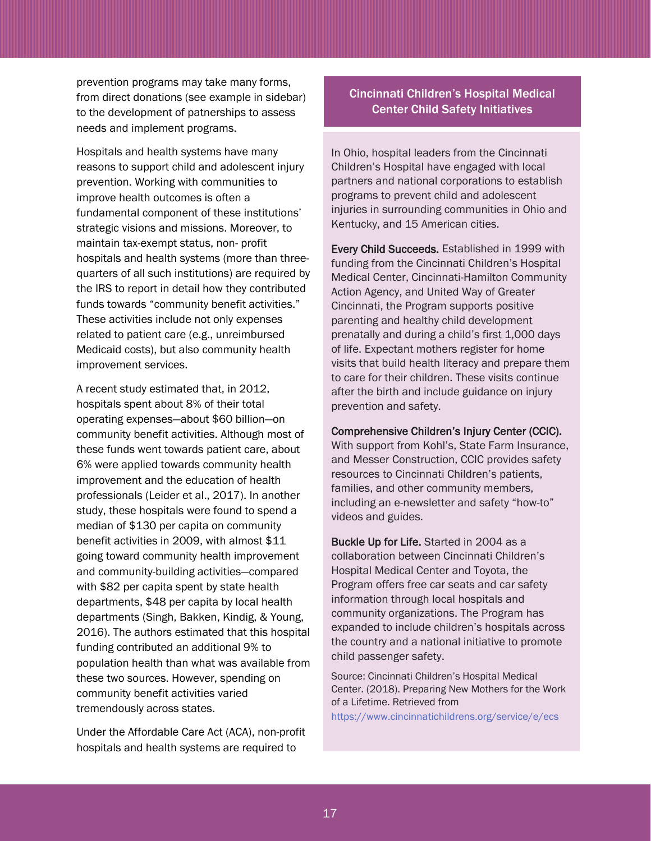prevention programs may take many forms, from direct donations (see example in sidebar) to the development of patnerships to assess needs and implement programs.

Hospitals and health systems have many reasons to support child and adolescent injury prevention. Working with communities to improve health outcomes is often a fundamental component of these institutions' strategic visions and missions. Moreover, to maintain tax-exempt status, non- profit hospitals and health systems (more than threequarters of all such institutions) are required by the IRS to report in detail how they contributed funds towards "community benefit activities." These activities include not only expenses related to patient care (e.g., unreimbursed Medicaid costs), but also community health improvement services.

A recent study estimated that, in 2012, hospitals spent about 8% of their total operating expenses—about \$60 billion—on community benefit activities. Although most of these funds went towards patient care, about 6% were applied towards community health improvement and the education of health professionals (Leider et al., 2017). In another study, these hospitals were found to spend a median of \$130 per capita on community benefit activities in 2009, with almost \$11 going toward community health improvement and community-building activities—compared with \$82 per capita spent by state health departments, \$48 per capita by local health departments (Singh, Bakken, Kindig, & Young, 2016). The authors estimated that this hospital funding contributed an additional 9% to population health than what was available from these two sources. However, spending on community benefit activities varied tremendously across states.

Under the Affordable Care Act (ACA), non-profit hospitals and health systems are required to

## Cincinnati Children's Hospital Medical Center Child Safety Initiatives

In Ohio, hospital leaders from the Cincinnati Children's Hospital have engaged with local partners and national corporations to establish programs to prevent child and adolescent injuries in surrounding communities in Ohio and Kentucky, and 15 American cities.

Every Child Succeeds. Established in 1999 with funding from the Cincinnati Children's Hospital Medical Center, Cincinnati-Hamilton Community Action Agency, and United Way of Greater Cincinnati, the Program supports positive parenting and healthy child development prenatally and during a child's first 1,000 days of life. Expectant mothers register for home visits that build health literacy and prepare them to care for their children. These visits continue after the birth and include guidance on injury prevention and safety.

### Comprehensive Children's Injury Center (CCIC).

With support from Kohl's, State Farm Insurance, and Messer Construction, CCIC provides safety resources to Cincinnati Children's patients, families, and other community members, including an e-newsletter and safety "how-to" videos and guides.

Buckle Up for Life. Started in 2004 as a collaboration between Cincinnati Children's Hospital Medical Center and Toyota, the Program offers free car seats and car safety information through local hospitals and community organizations. The Program has expanded to include children's hospitals across the country and a national initiative to promote child passenger safety.

Source: Cincinnati Children's Hospital Medical Center. (2018). Preparing New Mothers for the Work of a Lifetime. Retrieved from

<https://www.cincinnatichildrens.org/service/e/ecs>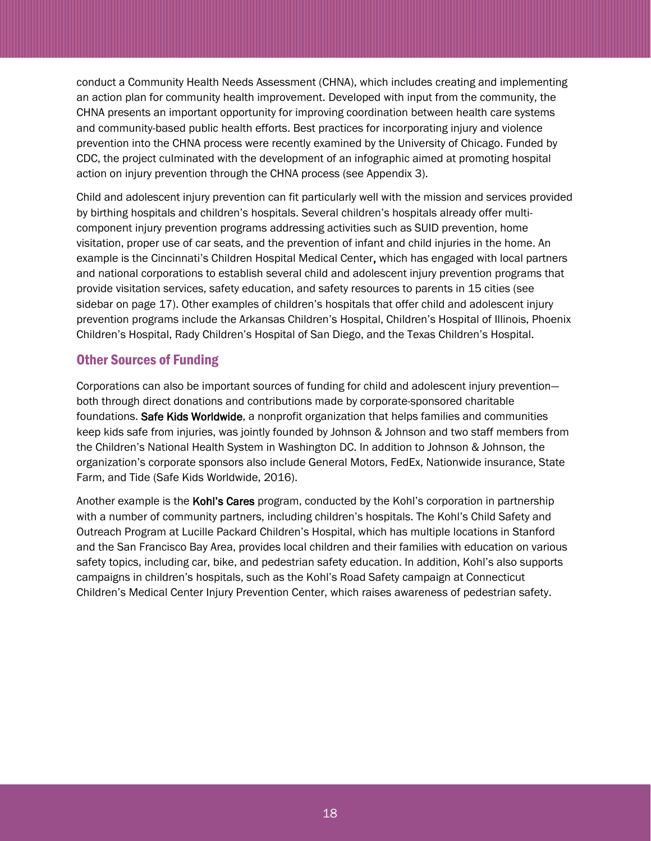conduct a Community Health Needs Assessment (CHNA), which includes creating and implementing an action plan for community health improvement. Developed with input from the community, the CHNA presents an important opportunity for improving coordination between health care systems and community-based public health efforts. Best practices for incorporating injury and violence prevention into the CHNA process were recently examined by the University of Chicago. Funded by CDC, the project culminated with the development of an infographic aimed at promoting hospital action on injury prevention through the CHNA process (see Appendix 3).

Child and adolescent injury prevention can fit particularly well with the mission and services provided by birthing hospitals and children's hospitals. Several children's hospitals already offer multicomponent injury prevention programs addressing activities such as SUID prevention, home visitation, proper use of car seats, and the prevention of infant and child injuries in the home. An example is the Cincinnati's Children Hospital Medical Center, which has engaged with local partners and national corporations to establish several child and adolescent injury prevention programs that provide visitation services, safety education, and safety resources to parents in 15 cities (see sidebar on page 17). Other examples of children's hospitals that offer child and adolescent injury prevention programs include the Arkansas Children's Hospital, Children's Hospital of Illinois, Phoenix Children's Hospital, Rady Children's Hospital of San Diego, and the Texas Children's Hospital.

## Other Sources of Funding

Corporations can also be important sources of funding for child and adolescent injury prevention both through direct donations and contributions made by corporate-sponsored charitable foundations. Safe Kids Worldwide, a nonprofit organization that helps families and communities keep kids safe from injuries, was jointly founded by Johnson & Johnson and two staff members from the Children's National Health System in Washington DC. In addition to Johnson & Johnson, the organization's corporate sponsors also include General Motors, FedEx, Nationwide insurance, State Farm, and Tide (Safe Kids Worldwide, 2016).

Another example is the Kohl's Cares program, conducted by the Kohl's corporation in partnership with a number of community partners, including children's hospitals. The Kohl's Child Safety and Outreach Program at Lucille Packard Children's Hospital, which has multiple locations in Stanford and the San Francisco Bay Area, provides local children and their families with education on various safety topics, including car, bike, and pedestrian safety education. In addition, Kohl's also supports campaigns in children's hospitals, such as the Kohl's Road Safety campaign at Connecticut Children's Medical Center Injury Prevention Center, which raises awareness of pedestrian safety.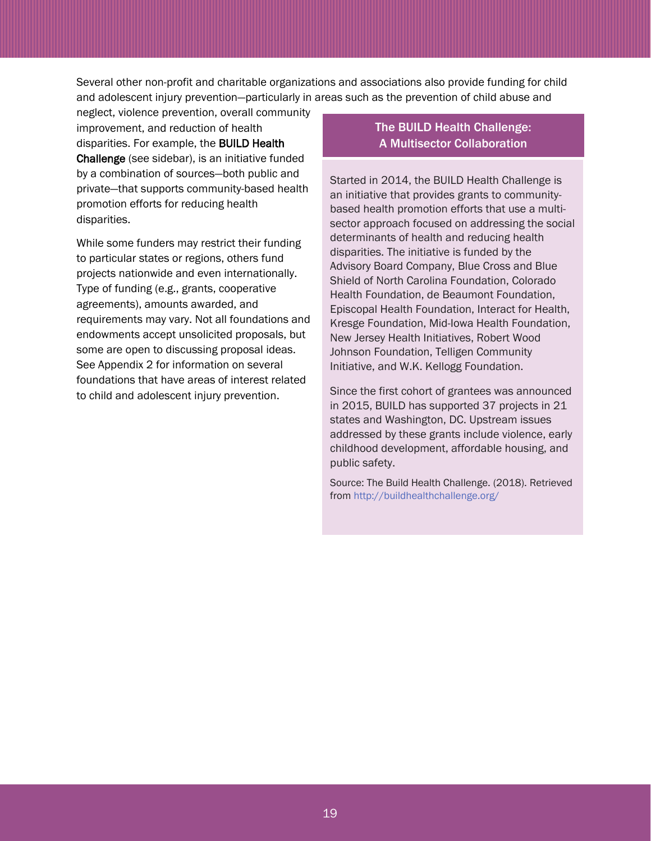Several other non-profit and charitable organizations and associations also provide funding for child and adolescent injury prevention—particularly in areas such as the prevention of child abuse and

neglect, violence prevention, overall community improvement, and reduction of health disparities. For example, the BUILD Health Challenge (see sidebar), is an initiative funded by a combination of sources—both public and private—that supports community-based health promotion efforts for reducing health disparities.

While some funders may restrict their funding to particular states or regions, others fund projects nationwide and even internationally. Type of funding (e.g., grants, cooperative agreements), amounts awarded, and requirements may vary. Not all foundations and endowments accept unsolicited proposals, but some are open to discussing proposal ideas. See Appendix 2 for information on several foundations that have areas of interest related to child and adolescent injury prevention.

## The BUILD Health Challenge: A Multisector Collaboration

Started in 2014, the BUILD Health Challenge is an initiative that provides grants to communitybased health promotion efforts that use a multisector approach focused on addressing the social determinants of health and reducing health disparities. The initiative is funded by the Advisory Board Company, Blue Cross and Blue Shield of North Carolina Foundation, Colorado Health Foundation, de Beaumont Foundation, Episcopal Health Foundation, Interact for Health, Kresge Foundation, Mid-Iowa Health Foundation, New Jersey Health Initiatives, Robert Wood Johnson Foundation, Telligen Community Initiative, and W.K. Kellogg Foundation.

Since the first cohort of grantees was announced in 2015, BUILD has supported 37 projects in 21 states and Washington, DC. Upstream issues addressed by these grants include violence, early childhood development, affordable housing, and public safety.

Source: The Build Health Challenge. (2018). Retrieved fro[m http://buildhealthchallenge.org/](http://buildhealthchallenge.org/)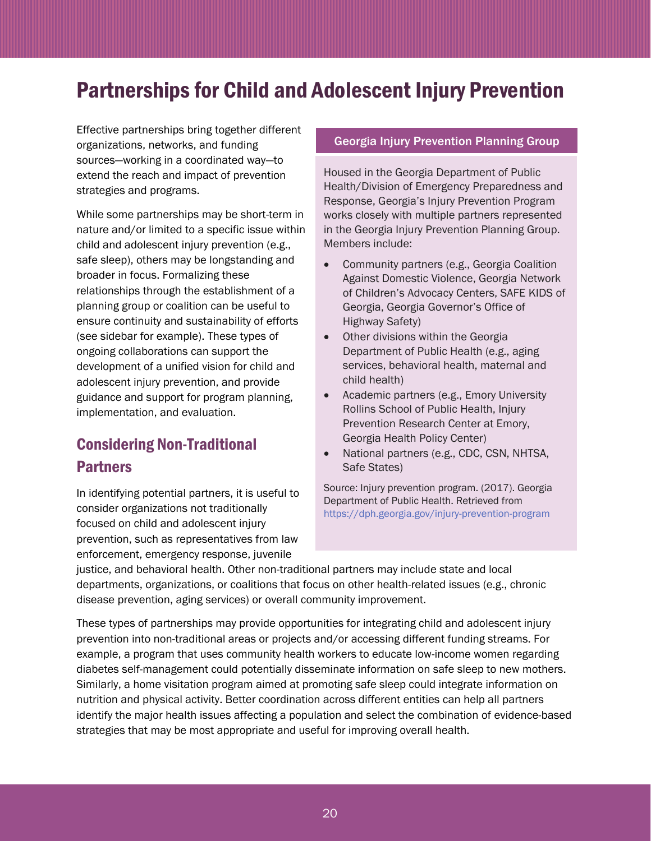# <span id="page-19-0"></span>Partnerships for Child and Adolescent Injury Prevention

Effective partnerships bring together different organizations, networks, and funding sources—working in a coordinated way—to extend the reach and impact of prevention strategies and programs.

While some partnerships may be short-term in nature and/or limited to a specific issue within child and adolescent injury prevention (e.g., safe sleep), others may be longstanding and broader in focus. Formalizing these relationships through the establishment of a planning group or coalition can be useful to ensure continuity and sustainability of efforts (see sidebar for example). These types of ongoing collaborations can support the development of a unified vision for child and adolescent injury prevention, and provide guidance and support for program planning, implementation, and evaluation.

# <span id="page-19-1"></span>Considering Non-Traditional **Partners**

In identifying potential partners, it is useful to consider organizations not traditionally focused on child and adolescent injury prevention, such as representatives from law enforcement, emergency response, juvenile

### Georgia Injury Prevention Planning Group

Housed in the Georgia Department of Public Health/Division of Emergency Preparedness and Response, Georgia's Injury Prevention Program works closely with multiple partners represented in the Georgia Injury Prevention Planning Group. Members include:

- Community partners (e.g., Georgia Coalition Against Domestic Violence, Georgia Network of Children's Advocacy Centers, SAFE KIDS of Georgia, Georgia Governor's Office of Highway Safety)
- Other divisions within the Georgia Department of Public Health (e.g., aging services, behavioral health, maternal and child health)
- Academic partners (e.g., Emory University Rollins School of Public Health, Injury Prevention Research Center at Emory, Georgia Health Policy Center)
- National partners (e.g., CDC, CSN, NHTSA, Safe States)

Source: Injury prevention program. (2017). Georgia Department of Public Health. Retrieved from <https://dph.georgia.gov/injury-prevention-program>

justice, and behavioral health. Other non-traditional partners may include state and local departments, organizations, or coalitions that focus on other health-related issues (e.g., chronic disease prevention, aging services) or overall community improvement.

These types of partnerships may provide opportunities for integrating child and adolescent injury prevention into non-traditional areas or projects and/or accessing different funding streams. For example, a program that uses community health workers to educate low-income women regarding diabetes self-management could potentially disseminate information on safe sleep to new mothers. Similarly, a home visitation program aimed at promoting safe sleep could integrate information on nutrition and physical activity. Better coordination across different entities can help all partners identify the major health issues affecting a population and select the combination of evidence-based strategies that may be most appropriate and useful for improving overall health.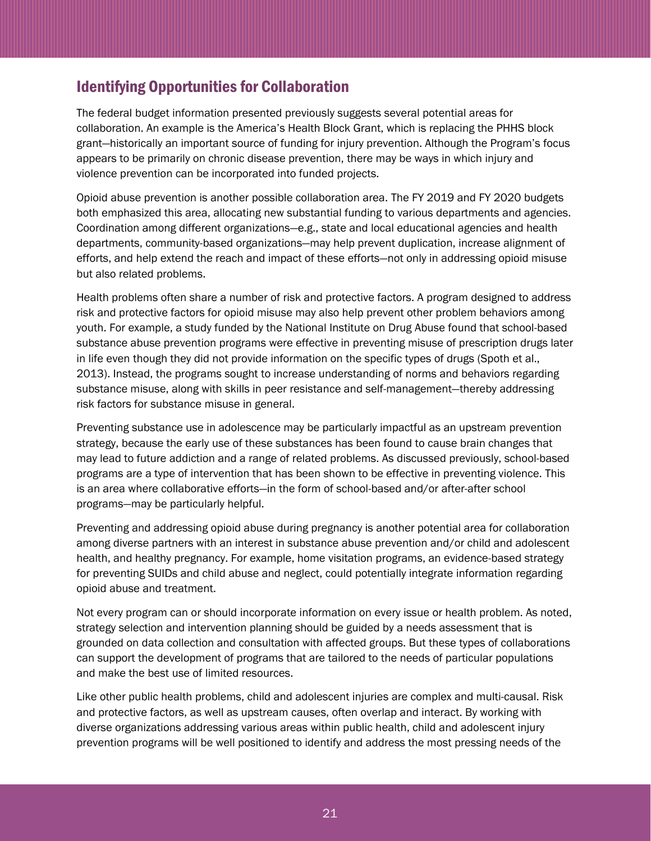# <span id="page-20-0"></span>Identifying Opportunities for Collaboration

The federal budget information presented previously suggests several potential areas for collaboration. An example is the America's Health Block Grant, which is replacing the PHHS block grant—historically an important source of funding for injury prevention. Although the Program's focus appears to be primarily on chronic disease prevention, there may be ways in which injury and violence prevention can be incorporated into funded projects.

Opioid abuse prevention is another possible collaboration area. The FY 2019 and FY 2020 budgets both emphasized this area, allocating new substantial funding to various departments and agencies. Coordination among different organizations—e.g., state and local educational agencies and health departments, community-based organizations—may help prevent duplication, increase alignment of efforts, and help extend the reach and impact of these efforts—not only in addressing opioid misuse but also related problems.

Health problems often share a number of risk and protective factors. A program designed to address risk and protective factors for opioid misuse may also help prevent other problem behaviors among youth. For example, a study funded by the National Institute on Drug Abuse found that school-based substance abuse prevention programs were effective in preventing misuse of prescription drugs later in life even though they did not provide information on the specific types of drugs (Spoth et al., 2013). Instead, the programs sought to increase understanding of norms and behaviors regarding substance misuse, along with skills in peer resistance and self-management—thereby addressing risk factors for substance misuse in general.

Preventing substance use in adolescence may be particularly impactful as an upstream prevention strategy, because the early use of these substances has been found to cause brain changes that may lead to future addiction and a range of related problems. As discussed previously, school-based programs are a type of intervention that has been shown to be effective in preventing violence. This is an area where collaborative efforts—in the form of school-based and/or after-after school programs—may be particularly helpful.

Preventing and addressing opioid abuse during pregnancy is another potential area for collaboration among diverse partners with an interest in substance abuse prevention and/or child and adolescent health, and healthy pregnancy. For example, home visitation programs, an evidence-based strategy for preventing SUIDs and child abuse and neglect, could potentially integrate information regarding opioid abuse and treatment.

Not every program can or should incorporate information on every issue or health problem. As noted, strategy selection and intervention planning should be guided by a needs assessment that is grounded on data collection and consultation with affected groups. But these types of collaborations can support the development of programs that are tailored to the needs of particular populations and make the best use of limited resources.

Like other public health problems, child and adolescent injuries are complex and multi-causal. Risk and protective factors, as well as upstream causes, often overlap and interact. By working with diverse organizations addressing various areas within public health, child and adolescent injury prevention programs will be well positioned to identify and address the most pressing needs of the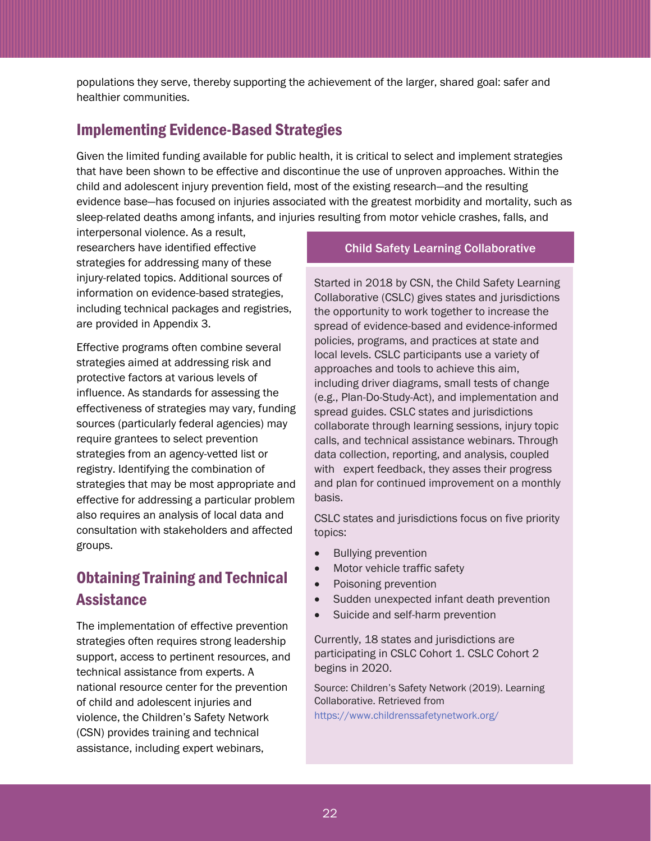populations they serve, thereby supporting the achievement of the larger, shared goal: safer and healthier communities.

# <span id="page-21-0"></span>Implementing Evidence-Based Strategies

Given the limited funding available for public health, it is critical to select and implement strategies that have been shown to be effective and discontinue the use of unproven approaches. Within the child and adolescent injury prevention field, most of the existing research—and the resulting evidence base—has focused on injuries associated with the greatest morbidity and mortality, such as sleep-related deaths among infants, and injuries resulting from motor vehicle crashes, falls, and

interpersonal violence. As a result, researchers have identified effective strategies for addressing many of these injury-related topics. Additional sources of information on evidence-based strategies, including technical packages and registries, are provided in Appendix 3.

Effective programs often combine several strategies aimed at addressing risk and protective factors at various levels of influence. As standards for assessing the effectiveness of strategies may vary, funding sources (particularly federal agencies) may require grantees to select prevention strategies from an agency-vetted list or registry. Identifying the combination of strategies that may be most appropriate and effective for addressing a particular problem also requires an analysis of local data and consultation with stakeholders and affected groups.

# <span id="page-21-1"></span>Obtaining Training and Technical **Assistance**

The implementation of effective prevention strategies often requires strong leadership support, access to pertinent resources, and technical assistance from experts. A national resource center for the prevention of child and adolescent injuries and violence, the Children's Safety Network (CSN) provides training and technical assistance, including expert webinars,

### Child Safety Learning Collaborative

Started in 2018 by CSN, the Child Safety Learning Collaborative (CSLC) gives states and jurisdictions the opportunity to work together to increase the spread of evidence-based and evidence-informed policies, programs, and practices at state and local levels. CSLC participants use a variety of approaches and tools to achieve this aim, including driver diagrams, small tests of change (e.g., Plan-Do-Study-Act), and implementation and spread guides. CSLC states and jurisdictions collaborate through learning sessions, injury topic calls, and technical assistance webinars. Through data collection, reporting, and analysis, coupled with expert feedback, they asses their progress and plan for continued improvement on a monthly basis.

CSLC states and jurisdictions focus on five priority topics:

- Bullying prevention
- Motor vehicle traffic safety
- Poisoning prevention
- Sudden unexpected infant death prevention
- Suicide and self-harm prevention

Currently, 18 states and jurisdictions are participating in CSLC Cohort 1. CSLC Cohort 2 begins in 2020.

Source: Children's Safety Network (2019). Learning Collaborative. Retrieved from <https://www.childrenssafetynetwork.org/>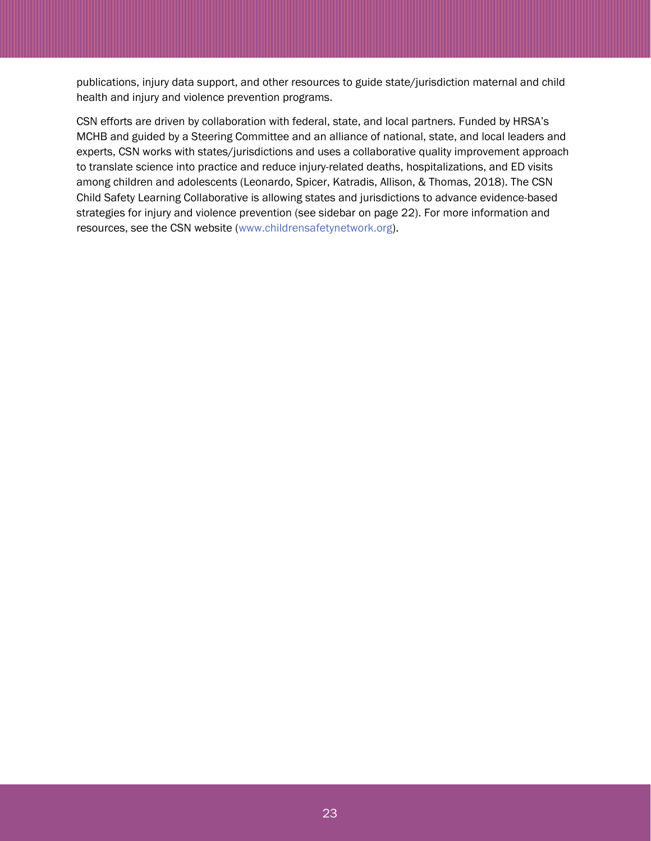publications, injury data support, and other resources to guide state/jurisdiction maternal and child health and injury and violence prevention programs.

CSN efforts are driven by collaboration with federal, state, and local partners. Funded by HRSA's MCHB and guided by a Steering Committee and an alliance of national, state, and local leaders and experts, CSN works with states/jurisdictions and uses a collaborative quality improvement approach to translate science into practice and reduce injury-related deaths, hospitalizations, and ED visits among children and adolescents (Leonardo, Spicer, Katradis, Allison, & Thomas, 2018). The CSN Child Safety Learning Collaborative is allowing states and jurisdictions to advance evidence-based strategies for injury and violence prevention (see sidebar on page 22). For more information and resources, see the CSN website [\(www.childrensafetynetwork.org\)](http://www.childrensafetynetwork.org/).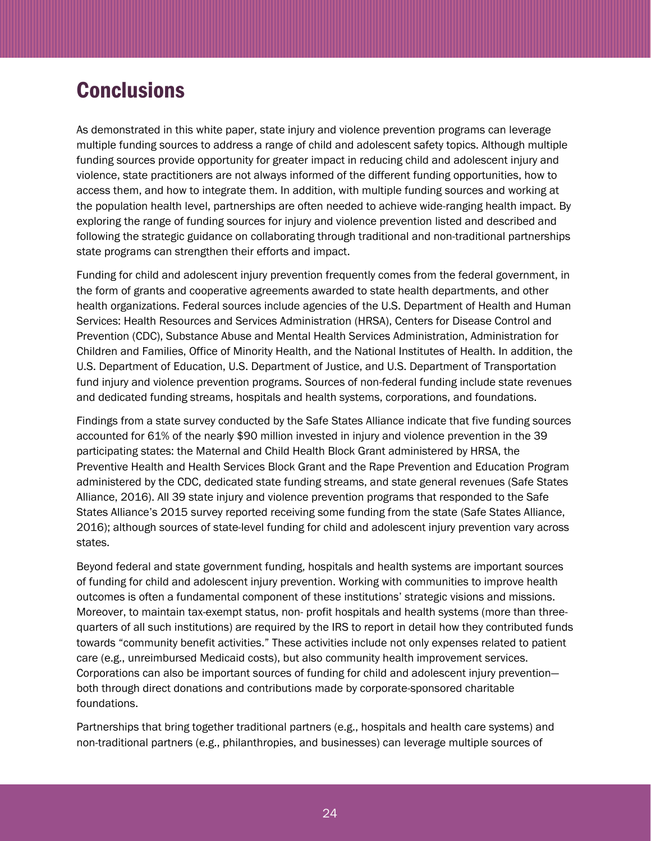# <span id="page-23-0"></span>**Conclusions**

As demonstrated in this white paper, state injury and violence prevention programs can leverage multiple funding sources to address a range of child and adolescent safety topics. Although multiple funding sources provide opportunity for greater impact in reducing child and adolescent injury and violence, state practitioners are not always informed of the different funding opportunities, how to access them, and how to integrate them. In addition, with multiple funding sources and working at the population health level, partnerships are often needed to achieve wide-ranging health impact. By exploring the range of funding sources for injury and violence prevention listed and described and following the strategic guidance on collaborating through traditional and non-traditional partnerships state programs can strengthen their efforts and impact.

Funding for child and adolescent injury prevention frequently comes from the federal government, in the form of grants and cooperative agreements awarded to state health departments, and other health organizations. Federal sources include agencies of the U.S. Department of Health and Human Services: Health Resources and Services Administration (HRSA), Centers for Disease Control and Prevention (CDC), Substance Abuse and Mental Health Services Administration, Administration for Children and Families, Office of Minority Health, and the National Institutes of Health. In addition, the U.S. Department of Education, U.S. Department of Justice, and U.S. Department of Transportation fund injury and violence prevention programs. Sources of non-federal funding include state revenues and dedicated funding streams, hospitals and health systems, corporations, and foundations.

Findings from a state survey conducted by the Safe States Alliance indicate that five funding sources accounted for 61% of the nearly \$90 million invested in injury and violence prevention in the 39 participating states: the Maternal and Child Health Block Grant administered by HRSA, the Preventive Health and Health Services Block Grant and the Rape Prevention and Education Program administered by the CDC, dedicated state funding streams, and state general revenues (Safe States Alliance, 2016). All 39 state injury and violence prevention programs that responded to the Safe States Alliance's 2015 survey reported receiving some funding from the state (Safe States Alliance, 2016); although sources of state-level funding for child and adolescent injury prevention vary across states.

Beyond federal and state government funding, hospitals and health systems are important sources of funding for child and adolescent injury prevention. Working with communities to improve health outcomes is often a fundamental component of these institutions' strategic visions and missions. Moreover, to maintain tax-exempt status, non- profit hospitals and health systems (more than threequarters of all such institutions) are required by the IRS to report in detail how they contributed funds towards "community benefit activities." These activities include not only expenses related to patient care (e.g., unreimbursed Medicaid costs), but also community health improvement services. Corporations can also be important sources of funding for child and adolescent injury prevention both through direct donations and contributions made by corporate-sponsored charitable foundations.

Partnerships that bring together traditional partners (e.g., hospitals and health care systems) and non-traditional partners (e.g., philanthropies, and businesses) can leverage multiple sources of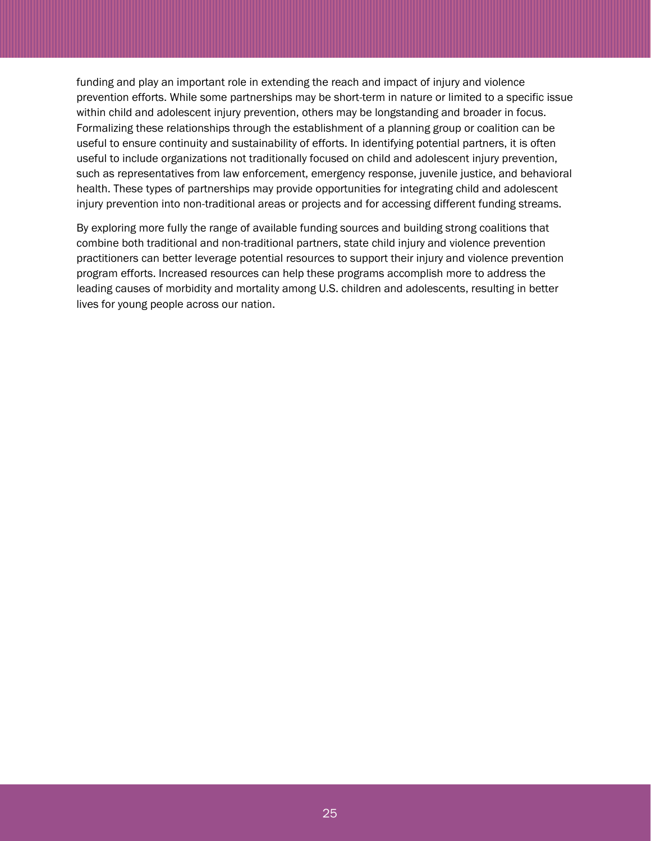funding and play an important role in extending the reach and impact of injury and violence prevention efforts. While some partnerships may be short-term in nature or limited to a specific issue within child and adolescent injury prevention, others may be longstanding and broader in focus. Formalizing these relationships through the establishment of a planning group or coalition can be useful to ensure continuity and sustainability of efforts. In identifying potential partners, it is often useful to include organizations not traditionally focused on child and adolescent injury prevention, such as representatives from law enforcement, emergency response, juvenile justice, and behavioral health. These types of partnerships may provide opportunities for integrating child and adolescent injury prevention into non-traditional areas or projects and for accessing different funding streams.

By exploring more fully the range of available funding sources and building strong coalitions that combine both traditional and non-traditional partners, state child injury and violence prevention practitioners can better leverage potential resources to support their injury and violence prevention program efforts. Increased resources can help these programs accomplish more to address the leading causes of morbidity and mortality among U.S. children and adolescents, resulting in better lives for young people across our nation.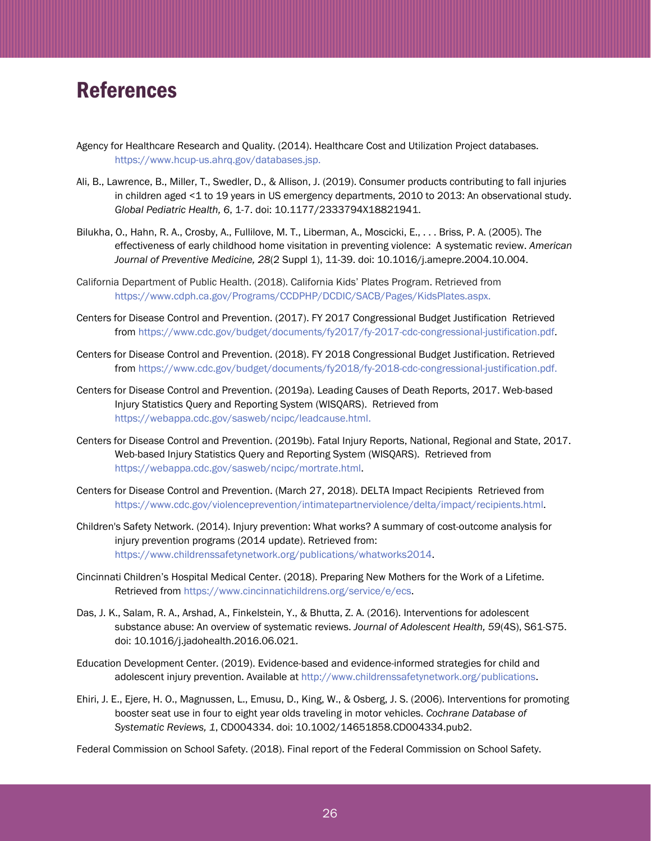# <span id="page-25-0"></span>References

- Agency for Healthcare Research and Quality. (2014). Healthcare Cost and Utilization Project databases. [https://www.hcup-us.ahrq.gov/databases.jsp.](https://www.hcup-us.ahrq.gov/databases.jsp)
- Ali, B., Lawrence, B., Miller, T., Swedler, D., & Allison, J. (2019). Consumer products contributing to fall injuries in children aged <1 to 19 years in US emergency departments, 2010 to 2013: An observational study. *Global Pediatric Health, 6*, 1-7. doi: 10.1177/2333794X18821941.
- Bilukha, O., Hahn, R. A., Crosby, A., Fullilove, M. T., Liberman, A., Moscicki, E., . . . Briss, P. A. (2005). The effectiveness of early childhood home visitation in preventing violence: A systematic review. *American Journal of Preventive Medicine, 28*(2 Suppl 1), 11-39. doi: 10.1016/j.amepre.2004.10.004.
- California Department of Public Health. (2018). California Kids' Plates Program. Retrieved from [https://www.cdph.ca.gov/Programs/CCDPHP/DCDIC/SACB/Pages/KidsPlates.aspx.](https://www.cdph.ca.gov/Programs/CCDPHP/DCDIC/SACB/Pages/KidsPlates.aspx)
- Centers for Disease Control and Prevention. (2017). FY 2017 Congressional Budget Justification Retrieved from [https://www.cdc.gov/budget/documents/fy2017/fy-2017-cdc-congressional-justification.pdf.](https://www.cdc.gov/budget/documents/fy2017/fy-2017-cdc-congressional-justification.pdf)
- Centers for Disease Control and Prevention. (2018). FY 2018 Congressional Budget Justification. Retrieved from [https://www.cdc.gov/budget/documents/fy2018/fy-2018-cdc-congressional-justification.pdf.](https://www.cdc.gov/budget/documents/fy2018/fy-2018-cdc-congressional-justification.pdf)
- Centers for Disease Control and Prevention. (2019a). Leading Causes of Death Reports, 2017. Web-based Injury Statistics Query and Reporting System (WISQARS). Retrieved from [https://webappa.cdc.gov/sasweb/ncipc/leadcause.html.](https://webappa.cdc.gov/sasweb/ncipc/leadcause.html)
- Centers for Disease Control and Prevention. (2019b). Fatal Injury Reports, National, Regional and State, 2017. Web-based Injury Statistics Query and Reporting System (WISQARS). Retrieved from [https://webappa.cdc.gov/sasweb/ncipc/mortrate.html.](https://webappa.cdc.gov/sasweb/ncipc/mortrate.html)
- Centers for Disease Control and Prevention. (March 27, 2018). DELTA Impact Recipients Retrieved from [https://www.cdc.gov/violenceprevention/intimatepartnerviolence/delta/impact/recipients.html.](https://www.cdc.gov/violenceprevention/intimatepartnerviolence/delta/impact/recipients.html)
- Children's Safety Network. (2014). Injury prevention: What works? A summary of cost-outcome analysis for injury prevention programs (2014 update). Retrieved from: [https://www.childrenssafetynetwork.org/publications/whatworks2014.](https://www.childrenssafetynetwork.org/publications/whatworks2014)
- Cincinnati Children's Hospital Medical Center. (2018). Preparing New Mothers for the Work of a Lifetime. Retrieved from [https://www.cincinnatichildrens.org/service/e/ecs.](https://www.cincinnatichildrens.org/service/e/ecs)
- Das, J. K., Salam, R. A., Arshad, A., Finkelstein, Y., & Bhutta, Z. A. (2016). Interventions for adolescent substance abuse: An overview of systematic reviews. *Journal of Adolescent Health, 59*(4S), S61-S75. doi: 10.1016/j.jadohealth.2016.06.021.
- Education Development Center. (2019). Evidence-based and evidence-informed strategies for child and adolescent injury prevention. Available at [http://www.childrenssafetynetwork.org/publications.](http://www.childrenssafetynetwork.org/publications)
- Ehiri, J. E., Ejere, H. O., Magnussen, L., Emusu, D., King, W., & Osberg, J. S. (2006). Interventions for promoting booster seat use in four to eight year olds traveling in motor vehicles. *Cochrane Database of Systematic Reviews, 1*, CD004334. doi: 10.1002/14651858.CD004334.pub2.
- Federal Commission on School Safety. (2018). Final report of the Federal Commission on School Safety.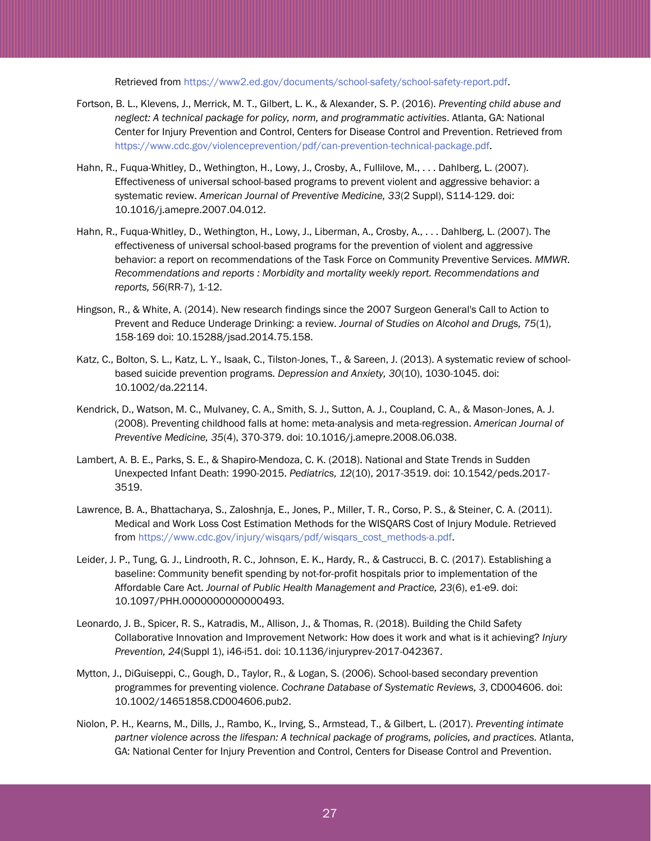Retrieved from [https://www2.ed.gov/documents/school-safety/school-safety-report.pdf.](https://www2.ed.gov/documents/school-safety/school-safety-report.pdf)

- Fortson, B. L., Klevens, J., Merrick, M. T., Gilbert, L. K., & Alexander, S. P. (2016). *Preventing child abuse and neglect: A technical package for policy, norm, and programmatic activities*. Atlanta, GA: National Center for Injury Prevention and Control, Centers for Disease Control and Prevention. Retrieved from [https://www.cdc.gov/violenceprevention/pdf/can-prevention-technical-package.pdf.](https://www.cdc.gov/violenceprevention/pdf/can-prevention-technical-package.pdf)
- Hahn, R., Fuqua-Whitley, D., Wethington, H., Lowy, J., Crosby, A., Fullilove, M., . . . Dahlberg, L. (2007). Effectiveness of universal school-based programs to prevent violent and aggressive behavior: a systematic review. *American Journal of Preventive Medicine, 33*(2 Suppl), S114-129. doi: 10.1016/j.amepre.2007.04.012.
- Hahn, R., Fuqua-Whitley, D., Wethington, H., Lowy, J., Liberman, A., Crosby, A., . . . Dahlberg, L. (2007). The effectiveness of universal school-based programs for the prevention of violent and aggressive behavior: a report on recommendations of the Task Force on Community Preventive Services. *MMWR. Recommendations and reports : Morbidity and mortality weekly report. Recommendations and reports, 56*(RR-7), 1-12.
- Hingson, R., & White, A. (2014). New research findings since the 2007 Surgeon General's Call to Action to Prevent and Reduce Underage Drinking: a review. *Journal of Studies on Alcohol and Drugs, 75*(1), 158-169 doi: 10.15288/jsad.2014.75.158.
- Katz, C., Bolton, S. L., Katz, L. Y., Isaak, C., Tilston-Jones, T., & Sareen, J. (2013). A systematic review of schoolbased suicide prevention programs. *Depression and Anxiety, 30*(10), 1030-1045. doi: 10.1002/da.22114.
- Kendrick, D., Watson, M. C., Mulvaney, C. A., Smith, S. J., Sutton, A. J., Coupland, C. A., & Mason-Jones, A. J. (2008). Preventing childhood falls at home: meta-analysis and meta-regression. *American Journal of Preventive Medicine, 35*(4), 370-379. doi: 10.1016/j.amepre.2008.06.038.
- Lambert, A. B. E., Parks, S. E., & Shapiro-Mendoza, C. K. (2018). National and State Trends in Sudden Unexpected Infant Death: 1990-2015. *Pediatrics, 12*(10), 2017-3519. doi: 10.1542/peds.2017- 3519.
- Lawrence, B. A., Bhattacharya, S., Zaloshnja, E., Jones, P., Miller, T. R., Corso, P. S., & Steiner, C. A. (2011). Medical and Work Loss Cost Estimation Methods for the WISQARS Cost of Injury Module. Retrieved from [https://www.cdc.gov/injury/wisqars/pdf/wisqars\\_cost\\_methods-a.pdf.](https://www.cdc.gov/injury/wisqars/pdf/wisqars_cost_methods-a.pdf)
- Leider, J. P., Tung, G. J., Lindrooth, R. C., Johnson, E. K., Hardy, R., & Castrucci, B. C. (2017). Establishing a baseline: Community benefit spending by not-for-profit hospitals prior to implementation of the Affordable Care Act. *Journal of Public Health Management and Practice, 23*(6), e1-e9. doi: 10.1097/PHH.0000000000000493.
- Leonardo, J. B., Spicer, R. S., Katradis, M., Allison, J., & Thomas, R. (2018). Building the Child Safety Collaborative Innovation and Improvement Network: How does it work and what is it achieving? *Injury Prevention, 24*(Suppl 1), i46-i51. doi: 10.1136/injuryprev-2017-042367.
- Mytton, J., DiGuiseppi, C., Gough, D., Taylor, R., & Logan, S. (2006). School-based secondary prevention programmes for preventing violence. *Cochrane Database of Systematic Reviews, 3*, CD004606. doi: 10.1002/14651858.CD004606.pub2.
- Niolon, P. H., Kearns, M., Dills, J., Rambo, K., Irving, S., Armstead, T., & Gilbert, L. (2017). *Preventing intimate partner violence across the lifespan: A technical package of programs, policies, and practices.* Atlanta, GA: National Center for Injury Prevention and Control, Centers for Disease Control and Prevention.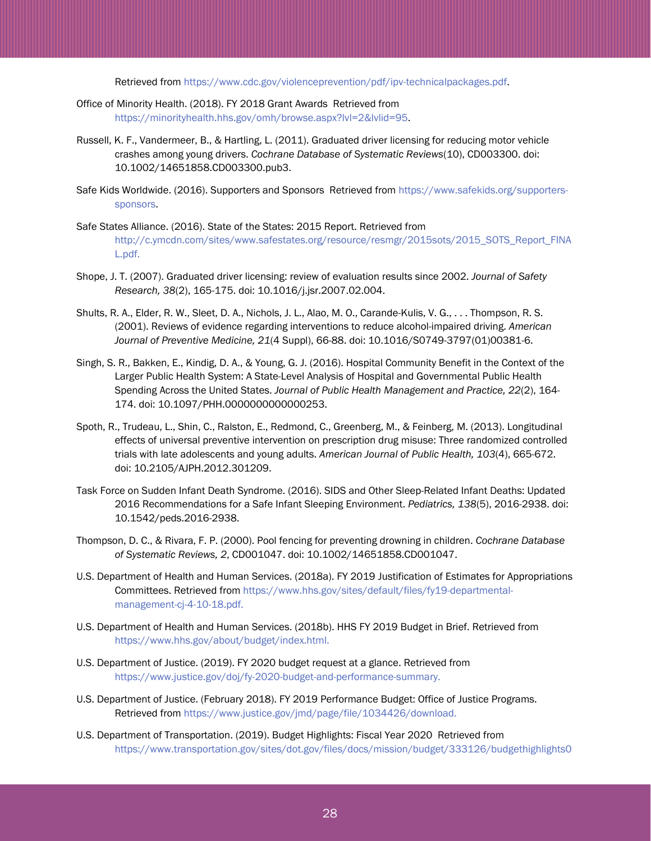Retrieved from [https://www.cdc.gov/violenceprevention/pdf/ipv-technicalpackages.pdf.](https://www.cdc.gov/violenceprevention/pdf/ipv-technicalpackages.pdf)

- Office of Minority Health. (2018). FY 2018 Grant Awards Retrieved from [https://minorityhealth.hhs.gov/omh/browse.aspx?lvl=2&lvlid=95.](https://minorityhealth.hhs.gov/omh/browse.aspx?lvl=2&lvlid=95)
- Russell, K. F., Vandermeer, B., & Hartling, L. (2011). Graduated driver licensing for reducing motor vehicle crashes among young drivers. *Cochrane Database of Systematic Reviews*(10), CD003300. doi: 10.1002/14651858.CD003300.pub3.
- Safe Kids Worldwide. (2016). Supporters and Sponsors Retrieved from [https://www.safekids.org/supporters](https://www.safekids.org/supporters-sponsors)[sponsors.](https://www.safekids.org/supporters-sponsors)
- Safe States Alliance. (2016). State of the States: 2015 Report. Retrieved from [http://c.ymcdn.com/sites/www.safestates.org/resource/resmgr/2015sots/2015\\_SOTS\\_Report\\_FINA](http://c.ymcdn.com/sites/www.safestates.org/resource/resmgr/2015sots/2015_SOTS_Report_FINAL.pdf) [L.pdf.](http://c.ymcdn.com/sites/www.safestates.org/resource/resmgr/2015sots/2015_SOTS_Report_FINAL.pdf)
- Shope, J. T. (2007). Graduated driver licensing: review of evaluation results since 2002. *Journal of Safety Research, 38*(2), 165-175. doi: 10.1016/j.jsr.2007.02.004.
- Shults, R. A., Elder, R. W., Sleet, D. A., Nichols, J. L., Alao, M. O., Carande-Kulis, V. G., . . . Thompson, R. S. (2001). Reviews of evidence regarding interventions to reduce alcohol-impaired driving. *American Journal of Preventive Medicine, 21*(4 Suppl), 66-88. doi: 10.1016/S0749-3797(01)00381-6.
- Singh, S. R., Bakken, E., Kindig, D. A., & Young, G. J. (2016). Hospital Community Benefit in the Context of the Larger Public Health System: A State-Level Analysis of Hospital and Governmental Public Health Spending Across the United States. *Journal of Public Health Management and Practice, 22*(2), 164- 174. doi: 10.1097/PHH.0000000000000253.
- Spoth, R., Trudeau, L., Shin, C., Ralston, E., Redmond, C., Greenberg, M., & Feinberg, M. (2013). Longitudinal effects of universal preventive intervention on prescription drug misuse: Three randomized controlled trials with late adolescents and young adults. *American Journal of Public Health, 103*(4), 665-672. doi: 10.2105/AJPH.2012.301209.
- Task Force on Sudden Infant Death Syndrome. (2016). SIDS and Other Sleep-Related Infant Deaths: Updated 2016 Recommendations for a Safe Infant Sleeping Environment. *Pediatrics, 138*(5), 2016-2938. doi: 10.1542/peds.2016-2938.
- Thompson, D. C., & Rivara, F. P. (2000). Pool fencing for preventing drowning in children. *Cochrane Database of Systematic Reviews, 2*, CD001047. doi: 10.1002/14651858.CD001047.
- U.S. Department of Health and Human Services. (2018a). FY 2019 Justification of Estimates for Appropriations Committees. Retrieved fro[m https://www.hhs.gov/sites/default/files/fy19-departmental](https://www.hhs.gov/sites/default/files/fy19-departmental-management-cj-4-10-18.pdf)[management-cj-4-10-18.pdf.](https://www.hhs.gov/sites/default/files/fy19-departmental-management-cj-4-10-18.pdf)
- U.S. Department of Health and Human Services. (2018b). HHS FY 2019 Budget in Brief. Retrieved from [https://www.hhs.gov/about/budget/index.html.](https://www.hhs.gov/about/budget/index.html)
- U.S. Department of Justice. (2019). FY 2020 budget request at a glance. Retrieved from [https://www.justice.gov/doj/fy-2020-budget-and-performance-summary.](https://www.justice.gov/doj/fy-2020-budget-and-performance-summary)
- U.S. Department of Justice. (February 2018). FY 2019 Performance Budget: Office of Justice Programs. Retrieved from [https://www.justice.gov/jmd/page/file/1034426/download.](https://www.justice.gov/jmd/page/file/1034426/download)
- U.S. Department of Transportation. (2019). Budget Highlights: Fiscal Year 2020 Retrieved from [https://www.transportation.gov/sites/dot.gov/files/docs/mission/budget/333126/budgethighlights0](https://www.transportation.gov/sites/dot.gov/files/docs/mission/budget/333126/budgethighlights030719final518pm25082.pdf)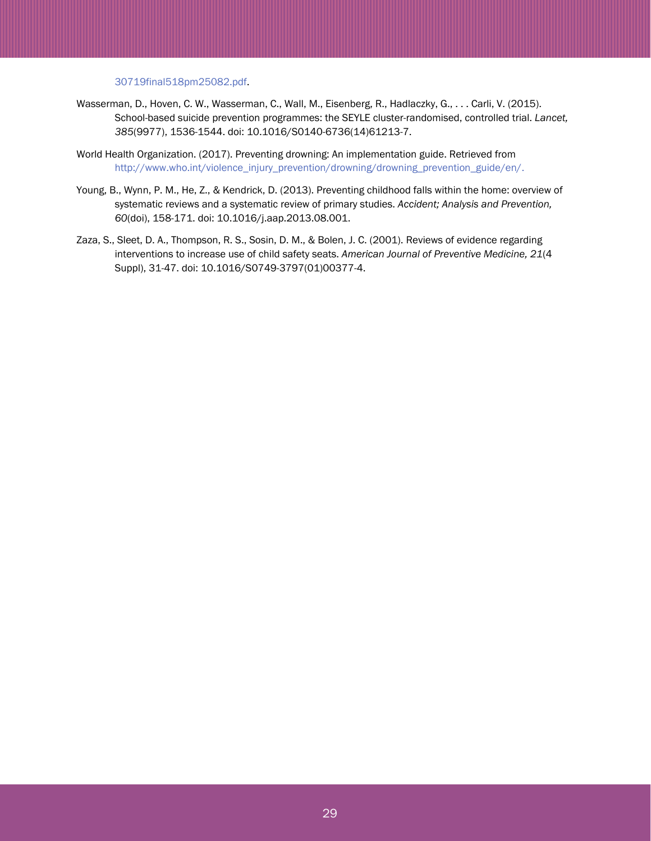[30719final518pm25082.pdf.](https://www.transportation.gov/sites/dot.gov/files/docs/mission/budget/333126/budgethighlights030719final518pm25082.pdf)

- Wasserman, D., Hoven, C. W., Wasserman, C., Wall, M., Eisenberg, R., Hadlaczky, G., . . . Carli, V. (2015). School-based suicide prevention programmes: the SEYLE cluster-randomised, controlled trial. *Lancet, 385*(9977), 1536-1544. doi: 10.1016/S0140-6736(14)61213-7.
- World Health Organization. (2017). Preventing drowning: An implementation guide. Retrieved from [http://www.who.int/violence\\_injury\\_prevention/drowning/drowning\\_prevention\\_guide/en/.](http://www.who.int/violence_injury_prevention/drowning/drowning_prevention_guide/en/)
- Young, B., Wynn, P. M., He, Z., & Kendrick, D. (2013). Preventing childhood falls within the home: overview of systematic reviews and a systematic review of primary studies. *Accident; Analysis and Prevention, 60*(doi), 158-171. doi: 10.1016/j.aap.2013.08.001.
- Zaza, S., Sleet, D. A., Thompson, R. S., Sosin, D. M., & Bolen, J. C. (2001). Reviews of evidence regarding interventions to increase use of child safety seats. *American Journal of Preventive Medicine, 21*(4 Suppl), 31-47. doi: 10.1016/S0749-3797(01)00377-4.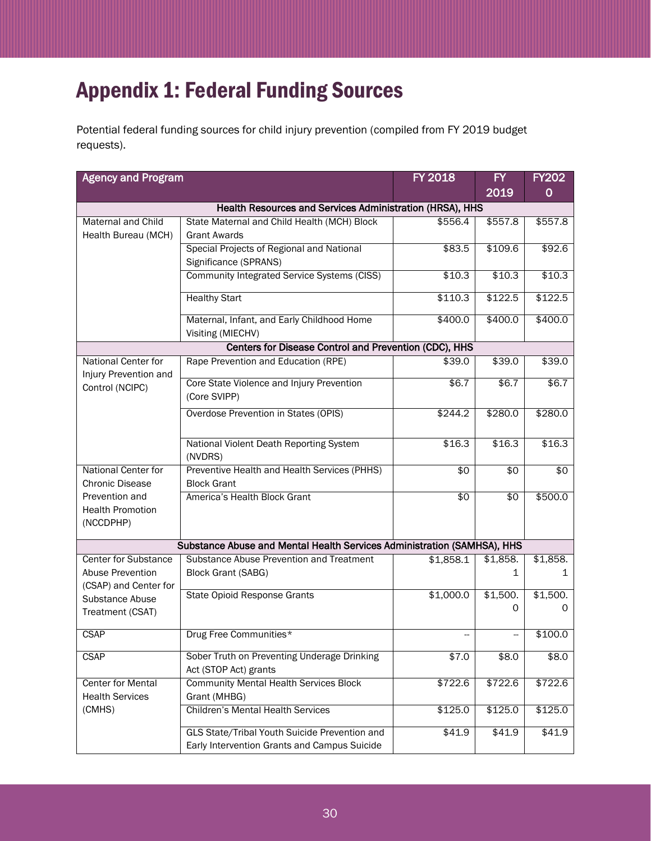# <span id="page-29-0"></span>Appendix 1: Federal Funding Sources

Potential federal funding sources for child injury prevention (compiled from FY 2019 budget requests).

| <b>Agency and Program</b>                                                                                       | <b>FY 2018</b>                                                                                | <b>FY</b>       | <b>FY202</b>      |               |  |  |
|-----------------------------------------------------------------------------------------------------------------|-----------------------------------------------------------------------------------------------|-----------------|-------------------|---------------|--|--|
|                                                                                                                 |                                                                                               | 2019            | $\mathbf 0$       |               |  |  |
| Health Resources and Services Administration (HRSA), HHS                                                        |                                                                                               |                 |                   |               |  |  |
| <b>Maternal and Child</b><br>Health Bureau (MCH)                                                                | State Maternal and Child Health (MCH) Block<br><b>Grant Awards</b>                            | \$556.4         | \$557.8           | \$557.8       |  |  |
|                                                                                                                 | Special Projects of Regional and National<br>Significance (SPRANS)                            | \$83.5          | \$109.6           | \$92.6        |  |  |
|                                                                                                                 | Community Integrated Service Systems (CISS)                                                   | \$10.3          | \$10.3            | \$10.3        |  |  |
|                                                                                                                 | <b>Healthy Start</b>                                                                          | \$110.3         | \$122.5           | \$122.5       |  |  |
|                                                                                                                 | Maternal, Infant, and Early Childhood Home<br>Visiting (MIECHV)                               | \$400.0         | \$400.0           | \$400.0       |  |  |
|                                                                                                                 | Centers for Disease Control and Prevention (CDC), HHS                                         |                 |                   |               |  |  |
| <b>National Center for</b><br>Injury Prevention and                                                             | Rape Prevention and Education (RPE)                                                           | \$39.0          | \$39.0            | \$39.0        |  |  |
| Control (NCIPC)                                                                                                 | Core State Violence and Injury Prevention<br>(Core SVIPP)                                     | \$6.7           | $\overline{$6.7}$ | \$6.7         |  |  |
|                                                                                                                 | Overdose Prevention in States (OPIS)                                                          | \$244.2         | \$280.0           | \$280.0       |  |  |
|                                                                                                                 | National Violent Death Reporting System<br>(NVDRS)                                            | \$16.3          | \$16.3            | \$16.3        |  |  |
| National Center for<br><b>Chronic Disease</b>                                                                   | Preventive Health and Health Services (PHHS)<br><b>Block Grant</b>                            | $\overline{50}$ | \$0               | $\sqrt{6}$    |  |  |
| Prevention and<br><b>Health Promotion</b><br>(NCCDPHP)                                                          | America's Health Block Grant                                                                  | $\overline{50}$ | $\sqrt{6}$        | \$500.0       |  |  |
| Substance Abuse and Mental Health Services Administration (SAMHSA), HHS                                         |                                                                                               |                 |                   |               |  |  |
| <b>Center for Substance</b><br>Abuse Prevention<br>(CSAP) and Center for<br>Substance Abuse<br>Treatment (CSAT) | Substance Abuse Prevention and Treatment<br><b>Block Grant (SABG)</b>                         | \$1,858.1       | \$1,858.<br>1     | \$1,858.<br>1 |  |  |
|                                                                                                                 | <b>State Opioid Response Grants</b>                                                           | \$1,000.0       | \$1,500.<br>0     | \$1,500.<br>0 |  |  |
| Drug Free Communities*<br><b>CSAP</b>                                                                           |                                                                                               |                 |                   | \$100.0       |  |  |
| <b>CSAP</b>                                                                                                     | Sober Truth on Preventing Underage Drinking<br>\$7.0<br>Act (STOP Act) grants                 |                 | \$8.0             | \$8.0         |  |  |
| <b>Center for Mental</b><br><b>Health Services</b>                                                              | <b>Community Mental Health Services Block</b><br>Grant (MHBG)                                 | \$722.6         | \$722.6           | \$722.6       |  |  |
| (CMHS)                                                                                                          | <b>Children's Mental Health Services</b>                                                      | \$125.0         | \$125.0           | \$125.0       |  |  |
|                                                                                                                 | GLS State/Tribal Youth Suicide Prevention and<br>Early Intervention Grants and Campus Suicide | \$41.9          | \$41.9            | \$41.9        |  |  |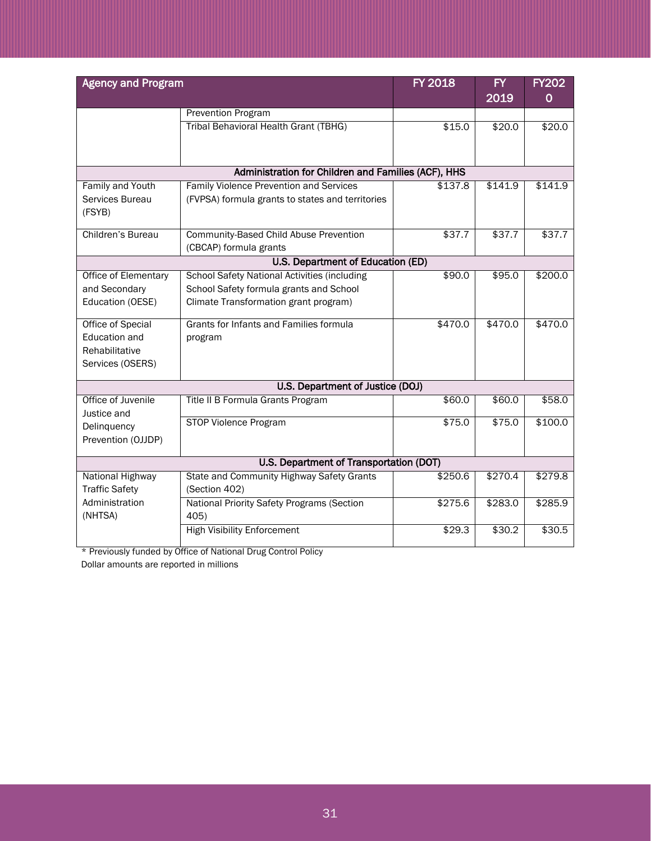| <b>Agency and Program</b>                                    |                                                           | <b>FY 2018</b> | $\overline{FY}$ | <b>FY202</b>      |  |  |
|--------------------------------------------------------------|-----------------------------------------------------------|----------------|-----------------|-------------------|--|--|
|                                                              |                                                           |                | 2019            | 0                 |  |  |
|                                                              | Prevention Program                                        |                |                 |                   |  |  |
|                                                              | Tribal Behavioral Health Grant (TBHG)                     | \$15.0         | \$20.0          | \$20.0            |  |  |
|                                                              |                                                           |                |                 |                   |  |  |
|                                                              | Administration for Children and Families (ACF), HHS       |                |                 |                   |  |  |
| <b>Family and Youth</b>                                      | <b>Family Violence Prevention and Services</b><br>\$137.8 |                | \$141.9         | \$141.9           |  |  |
| Services Bureau                                              | (FVPSA) formula grants to states and territories          |                |                 |                   |  |  |
| (FSYB)                                                       |                                                           |                |                 |                   |  |  |
| Children's Bureau                                            | <b>Community-Based Child Abuse Prevention</b>             | \$37.7         | \$37.7          | \$37.7            |  |  |
|                                                              | (CBCAP) formula grants                                    |                |                 |                   |  |  |
|                                                              | U.S. Department of Education (ED)                         |                |                 |                   |  |  |
| Office of Elementary                                         | <b>School Safety National Activities (including</b>       | \$90.0         | \$95.0          | \$200.0           |  |  |
| and Secondary                                                | School Safety formula grants and School                   |                |                 |                   |  |  |
| Education (OESE)                                             | Climate Transformation grant program)                     |                |                 |                   |  |  |
| <b>Office of Special</b>                                     | Grants for Infants and Families formula                   | \$470.0        | \$470.0         | \$470.0           |  |  |
| <b>Education and</b>                                         | program                                                   |                |                 |                   |  |  |
| Rehabilitative                                               |                                                           |                |                 |                   |  |  |
| Services (OSERS)                                             |                                                           |                |                 |                   |  |  |
|                                                              | U.S. Department of Justice (DOJ)                          |                |                 |                   |  |  |
| Office of Juvenile                                           | Title II B Formula Grants Program                         | \$60.0         | \$60.0          | \$58.0            |  |  |
| Justice and                                                  |                                                           |                |                 |                   |  |  |
| Delinquency                                                  | <b>STOP Violence Program</b>                              | \$75.0         | \$75.0          | \$100.0           |  |  |
| Prevention (OJJDP)                                           |                                                           |                |                 |                   |  |  |
| U.S. Department of Transportation (DOT)                      |                                                           |                |                 |                   |  |  |
| National Highway                                             | <b>State and Community Highway Safety Grants</b>          | \$250.6        | \$270.4         | \$279.8           |  |  |
| <b>Traffic Safety</b>                                        | (Section 402)                                             |                |                 |                   |  |  |
| Administration<br>National Priority Safety Programs (Section |                                                           | \$275.6        | \$283.0         | \$285.9           |  |  |
| (NHTSA)<br>405)                                              |                                                           |                |                 |                   |  |  |
|                                                              | <b>High Visibility Enforcement</b>                        | \$29.3         | \$30.2          | $\frac{1}{1}30.5$ |  |  |

\* Previously funded by Office of National Drug Control Policy

Dollar amounts are reported in millions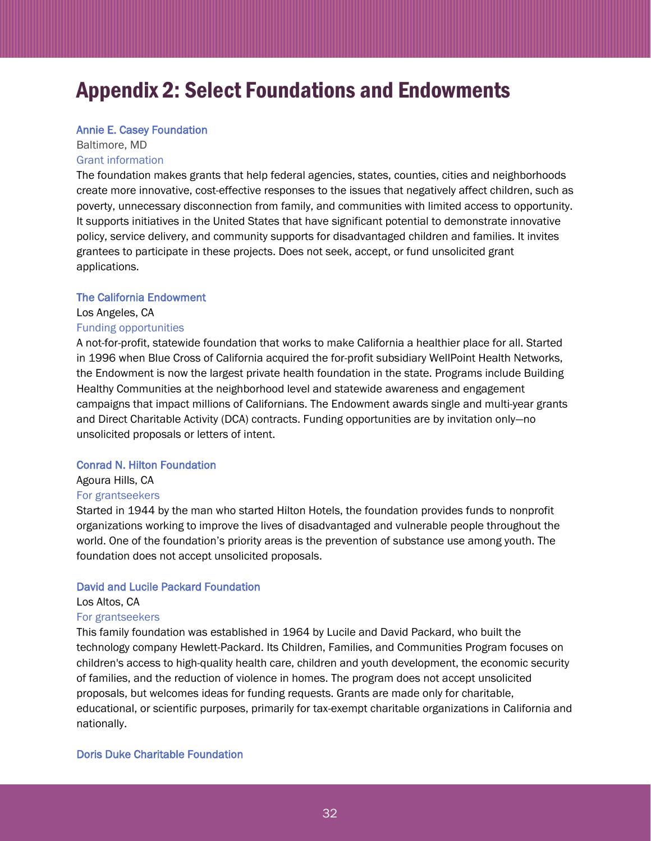# <span id="page-31-0"></span>Appendix 2: Select Foundations and Endowments

#### [Annie E. Casey Foundation](http://www.aecf.org/)

### Baltimore, MD [Grant information](https://www.aecf.org/about/grant-making/)

The foundation makes grants that help federal agencies, states, counties, cities and neighborhoods create more innovative, cost-effective responses to the issues that negatively affect children, such as poverty, unnecessary disconnection from family, and communities with limited access to opportunity. It supports initiatives in the United States that have significant potential to demonstrate innovative policy, service delivery, and community supports for disadvantaged children and families. It invites grantees to participate in these projects. Does not seek, accept, or fund unsolicited grant applications.

### [The California Endowment](http://www.calendow.org/)

# Los Angeles, CA

### [Funding opportunities](https://www.calendow.org/funding-opportunities/)

A not-for-profit, statewide foundation that works to make California a healthier place for all. Started in 1996 when Blue Cross of California acquired the for-profit subsidiary WellPoint Health Networks, the Endowment is now the largest private health foundation in the state. Programs include Building Healthy Communities at the neighborhood level and statewide awareness and engagement campaigns that impact millions of Californians. The Endowment awards single and multi-year grants and Direct Charitable Activity (DCA) contracts. Funding opportunities are by invitation only—no unsolicited proposals or letters of intent.

### [Conrad N. Hilton Foundation](https://www.hiltonfoundation.org/)

## Agoura Hills, CA [For grantseekers](https://www.hiltonfoundation.org/grants/grantseekers)

Started in 1944 by the man who started Hilton Hotels, the foundation provides funds to nonprofit organizations working to improve the lives of disadvantaged and vulnerable people throughout the world. One of the foundation's priority areas is the prevention of substance use among youth. The foundation does not accept unsolicited proposals.

### [David and Lucile Packard Foundation](https://www.packard.org/)

### Los Altos, CA [For grantseekers](https://www.packard.org/grants-and-investments/for-grantseekers)

This family foundation was established in 1964 by Lucile and David Packard, who built the technology company Hewlett-Packard. Its Children, Families, and Communities Program focuses on children's access to high-quality health care, children and youth development, the economic security of families, and the reduction of violence in homes. The program does not accept unsolicited proposals, but welcomes ideas for funding requests. Grants are made only for charitable, educational, or scientific purposes, primarily for tax-exempt charitable organizations in California and nationally.

### [Doris Duke Charitable Foundation](http://www.ddcf.org/)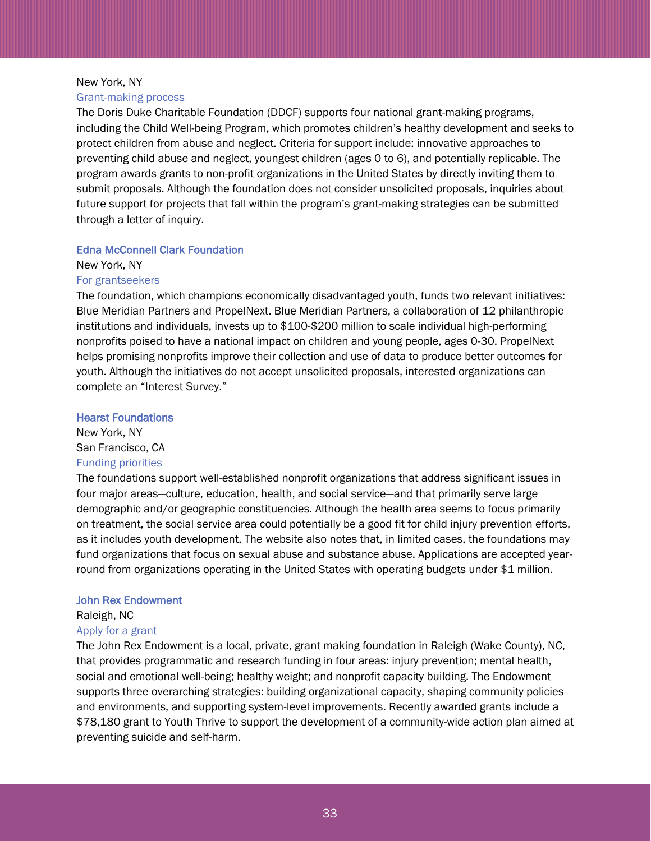### New York, NY [Grant-making process](https://www.ddcf.org/grants/grant-making-process-2/)

The Doris Duke Charitable Foundation (DDCF) supports four national grant-making programs, including the Child Well-being Program, which promotes children's healthy development and seeks to protect children from abuse and neglect. Criteria for support include: innovative approaches to preventing child abuse and neglect, youngest children (ages 0 to 6), and potentially replicable. The program awards grants to non-profit organizations in the United States by directly inviting them to submit proposals. Although the foundation does not consider unsolicited proposals, inquiries about future support for projects that fall within the program's grant-making strategies can be submitted through a letter of inquiry.

### [Edna McConnell Clark Foundation](http://www.emcf.org/)

New York, NY [For grantseekers](https://www.emcf.org/grantees/for-grantseekers/)

The foundation, which champions economically disadvantaged youth, funds two relevant initiatives: Blue Meridian Partners and PropelNext. Blue Meridian Partners, a collaboration of 12 philanthropic institutions and individuals, invests up to \$100-\$200 million to scale individual high-performing nonprofits poised to have a national impact on children and young people, ages 0-30. PropelNext helps promising nonprofits improve their collection and use of data to produce better outcomes for youth. Although the initiatives do not accept unsolicited proposals, interested organizations can complete an "Interest Survey."

### [Hearst Foundations](https://www.hearstfdn.org/)

New York, NY San Francisco, CA [Funding priorities](https://www.hearstfdn.org/funding-priorities/)

The foundations support well-established nonprofit organizations that address significant issues in four major areas—culture, education, health, and social service—and that primarily serve large demographic and/or geographic constituencies. Although the health area seems to focus primarily on treatment, the social service area could potentially be a good fit for child injury prevention efforts, as it includes youth development. The website also notes that, in limited cases, the foundations may fund organizations that focus on sexual abuse and substance abuse. Applications are accepted yearround from organizations operating in the United States with operating budgets under \$1 million.

## [John Rex Endowment](http://www.rexendowment.org/)

Raleigh, NC

### [Apply for a grant](https://www.johnrexendowment.org/apply-for-a-grant)

The John Rex Endowment is a local, private, grant making foundation in Raleigh (Wake County), NC, that provides programmatic and research funding in four areas: injury prevention; mental health, social and emotional well-being; healthy weight; and nonprofit capacity building. The Endowment supports three overarching strategies: building organizational capacity, shaping community policies and environments, and supporting system-level improvements. Recently awarded grants include a \$78,180 grant to Youth Thrive to support the development of a community-wide action plan aimed at preventing suicide and self-harm.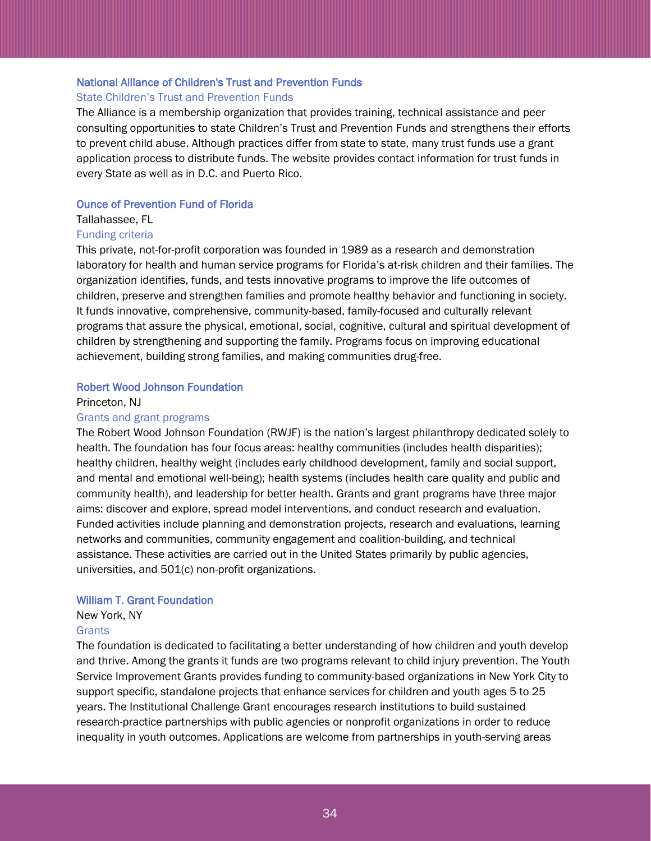### [National Alliance of Children's Trust and Prevention Funds](http://www.ctfalliance.org/)

### [State Children's Trust and Prevention Funds](https://ctfalliance.org/childrens-trust-funds/)

The Alliance is a membership organization that provides training, technical assistance and peer consulting opportunities to state Children's Trust and Prevention Funds and strengthens their efforts to prevent child abuse. Although practices differ from state to state, many trust funds use a grant application process to distribute funds. The website provides contact information for trust funds in every State as well as in D.C. and Puerto Rico.

### [Ounce of Prevention Fund of Florida](https://www.ounce.org/injuries.html)

### Tallahassee, FL

### [Funding criteria](https://www.ounce.org/funding.html)

This private, not-for-profit corporation was founded in 1989 as a research and demonstration laboratory for health and human service programs for Florida's at-risk children and their families. The organization identifies, funds, and tests innovative programs to improve the life outcomes of children, preserve and strengthen families and promote healthy behavior and functioning in society. It funds innovative, comprehensive, community-based, family-focused and culturally relevant programs that assure the physical, emotional, social, cognitive, cultural and spiritual development of children by strengthening and supporting the family. Programs focus on improving educational achievement, building strong families, and making communities drug-free.

### [Robert Wood Johnson Foundation](https://www.rwjf.org/)

### Princeton, NJ

#### [Grants and grant programs](https://www.rwjf.org/en/how-we-work/grants-and-grant-programs.html)

The Robert Wood Johnson Foundation (RWJF) is the nation's largest philanthropy dedicated solely to health. The foundation has four focus areas: healthy communities (includes health disparities); healthy children, healthy weight (includes early childhood development, family and social support, and mental and emotional well-being); health systems (includes health care quality and public and community health), and leadership for better health. Grants and grant programs have three major aims: discover and explore, spread model interventions, and conduct research and evaluation. Funded activities include planning and demonstration projects, research and evaluations, learning networks and communities, community engagement and coalition-building, and technical assistance. These activities are carried out in the United States primarily by public agencies, universities, and 501(c) non-profit organizations.

### [William T. Grant Foundation](http://wtgrantfoundation.org/)

### New York, NY

### **[Grants](http://wtgrantfoundation.org/grants)**

The foundation is dedicated to facilitating a better understanding of how children and youth develop and thrive. Among the grants it funds are two programs relevant to child injury prevention. The Youth Service Improvement Grants provides funding to community-based organizations in New York City to support specific, standalone projects that enhance services for children and youth ages 5 to 25 years. The Institutional Challenge Grant encourages research institutions to build sustained research-practice partnerships with public agencies or nonprofit organizations in order to reduce inequality in youth outcomes. Applications are welcome from partnerships in youth-serving areas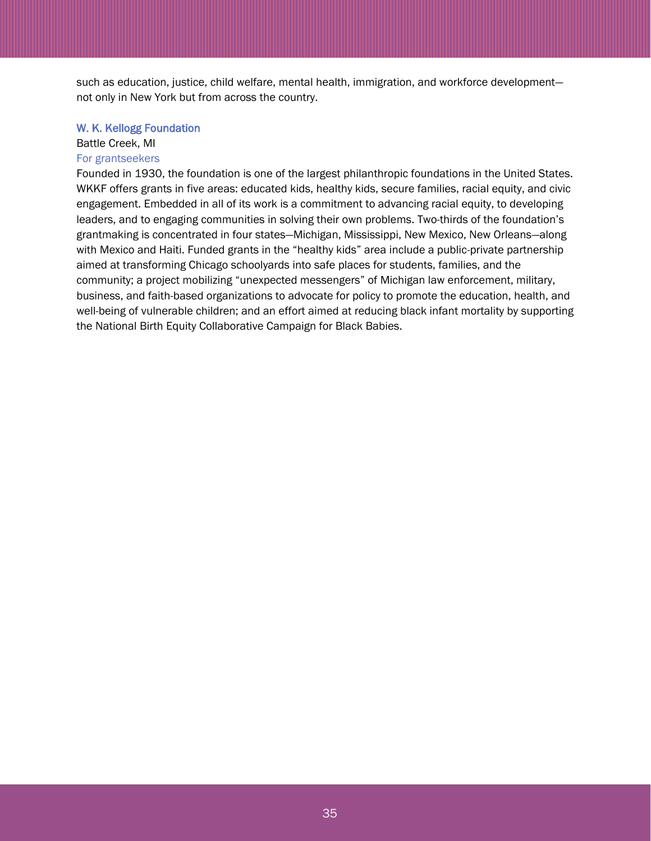such as education, justice, child welfare, mental health, immigration, and workforce development not only in New York but from across the country.

#### [W. K. Kellogg Foundation](https://www.wkkf.org/)

# Battle Creek, MI

# [For grantseekers](https://www.wkkf.org/grantseekers)

Founded in 1930, the foundation is one of the largest philanthropic foundations in the United States. WKKF offers grants in five areas: educated kids, healthy kids, secure families, racial equity, and civic engagement. Embedded in all of its work is a commitment to advancing racial equity, to developing leaders, and to engaging communities in solving their own problems. Two-thirds of the foundation's grantmaking is concentrated in four states—Michigan, Mississippi, New Mexico, New Orleans—along with Mexico and Haiti. Funded grants in the "healthy kids" area include a public-private partnership aimed at transforming Chicago schoolyards into safe places for students, families, and the community; a project mobilizing "unexpected messengers" of Michigan law enforcement, military, business, and faith-based organizations to advocate for policy to promote the education, health, and well-being of vulnerable children; and an effort aimed at reducing black infant mortality by supporting the National Birth Equity Collaborative Campaign for Black Babies.